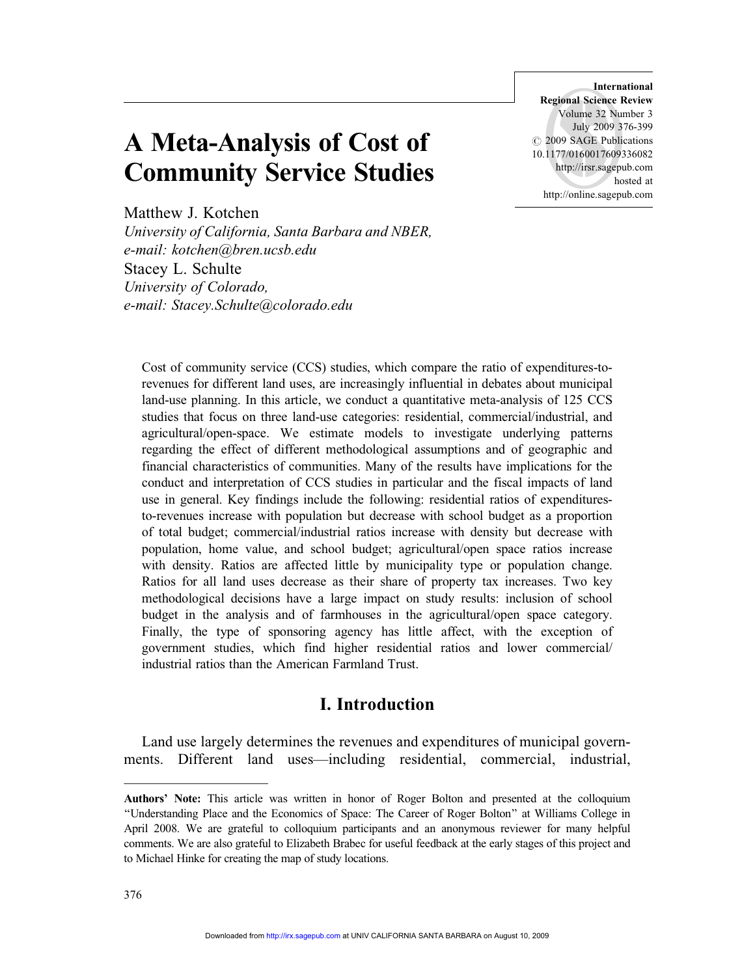# A Meta-Analysis of Cost of Community Service Studies

#### Matthew J. Kotchen

University of California, Santa Barbara and NBER, e-mail: kotchen@bren.ucsb.edu

Stacey L. Schulte University of Colorado, e-mail: Stacey.Schulte@colorado.edu

International Regional Science Review Volume 32 Number 3 July 2009 376-399 C 2009 SAGE Publications 10.1177/0160017609336082 http://irsr.sagepub.com hosted at http://online.sagepub.com

Cost of community service (CCS) studies, which compare the ratio of expenditures-torevenues for different land uses, are increasingly influential in debates about municipal land-use planning. In this article, we conduct a quantitative meta-analysis of 125 CCS studies that focus on three land-use categories: residential, commercial/industrial, and agricultural/open-space. We estimate models to investigate underlying patterns regarding the effect of different methodological assumptions and of geographic and financial characteristics of communities. Many of the results have implications for the conduct and interpretation of CCS studies in particular and the fiscal impacts of land use in general. Key findings include the following: residential ratios of expendituresto-revenues increase with population but decrease with school budget as a proportion of total budget; commercial/industrial ratios increase with density but decrease with population, home value, and school budget; agricultural/open space ratios increase with density. Ratios are affected little by municipality type or population change. Ratios for all land uses decrease as their share of property tax increases. Two key methodological decisions have a large impact on study results: inclusion of school budget in the analysis and of farmhouses in the agricultural/open space category. Finally, the type of sponsoring agency has little affect, with the exception of government studies, which find higher residential ratios and lower commercial/ industrial ratios than the American Farmland Trust.

#### I. Introduction

Land use largely determines the revenues and expenditures of municipal governments. Different land uses—including residential, commercial, industrial,

Authors' Note: This article was written in honor of Roger Bolton and presented at the colloquium ''Understanding Place and the Economics of Space: The Career of Roger Bolton'' at Williams College in April 2008. We are grateful to colloquium participants and an anonymous reviewer for many helpful comments. We are also grateful to Elizabeth Brabec for useful feedback at the early stages of this project and to Michael Hinke for creating the map of study locations.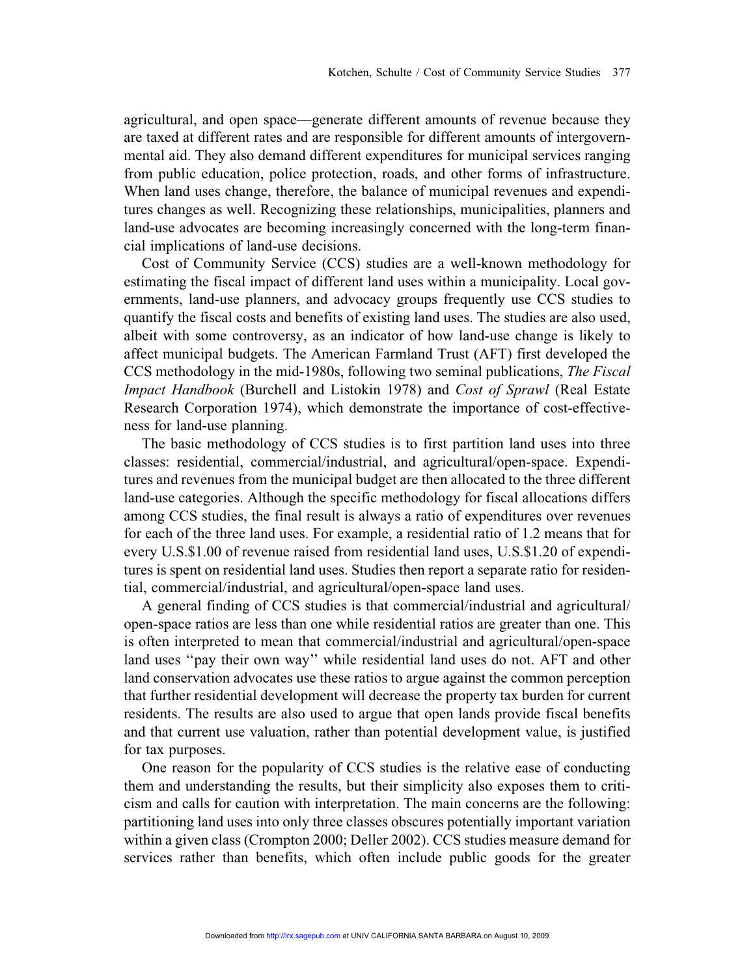agricultural, and open space—generate different amounts of revenue because they are taxed at different rates and are responsible for different amounts of intergovernmental aid. They also demand different expenditures for municipal services ranging from public education, police protection, roads, and other forms of infrastructure. When land uses change, therefore, the balance of municipal revenues and expenditures changes as well. Recognizing these relationships, municipalities, planners and land-use advocates are becoming increasingly concerned with the long-term financial implications of land-use decisions.

Cost of Community Service (CCS) studies are a well-known methodology for estimating the fiscal impact of different land uses within a municipality. Local governments, land-use planners, and advocacy groups frequently use CCS studies to quantify the fiscal costs and benefits of existing land uses. The studies are also used, albeit with some controversy, as an indicator of how land-use change is likely to affect municipal budgets. The American Farmland Trust (AFT) first developed the CCS methodology in the mid-1980s, following two seminal publications, The Fiscal Impact Handbook (Burchell and Listokin 1978) and Cost of Sprawl (Real Estate Research Corporation 1974), which demonstrate the importance of cost-effectiveness for land-use planning.

The basic methodology of CCS studies is to first partition land uses into three classes: residential, commercial/industrial, and agricultural/open-space. Expenditures and revenues from the municipal budget are then allocated to the three different land-use categories. Although the specific methodology for fiscal allocations differs among CCS studies, the final result is always a ratio of expenditures over revenues for each of the three land uses. For example, a residential ratio of 1.2 means that for every U.S.\$1.00 of revenue raised from residential land uses, U.S.\$1.20 of expenditures is spent on residential land uses. Studies then report a separate ratio for residential, commercial/industrial, and agricultural/open-space land uses.

A general finding of CCS studies is that commercial/industrial and agricultural/ open-space ratios are less than one while residential ratios are greater than one. This is often interpreted to mean that commercial/industrial and agricultural/open-space land uses ''pay their own way'' while residential land uses do not. AFT and other land conservation advocates use these ratios to argue against the common perception that further residential development will decrease the property tax burden for current residents. The results are also used to argue that open lands provide fiscal benefits and that current use valuation, rather than potential development value, is justified for tax purposes.

One reason for the popularity of CCS studies is the relative ease of conducting them and understanding the results, but their simplicity also exposes them to criticism and calls for caution with interpretation. The main concerns are the following: partitioning land uses into only three classes obscures potentially important variation within a given class (Crompton 2000; Deller 2002). CCS studies measure demand for services rather than benefits, which often include public goods for the greater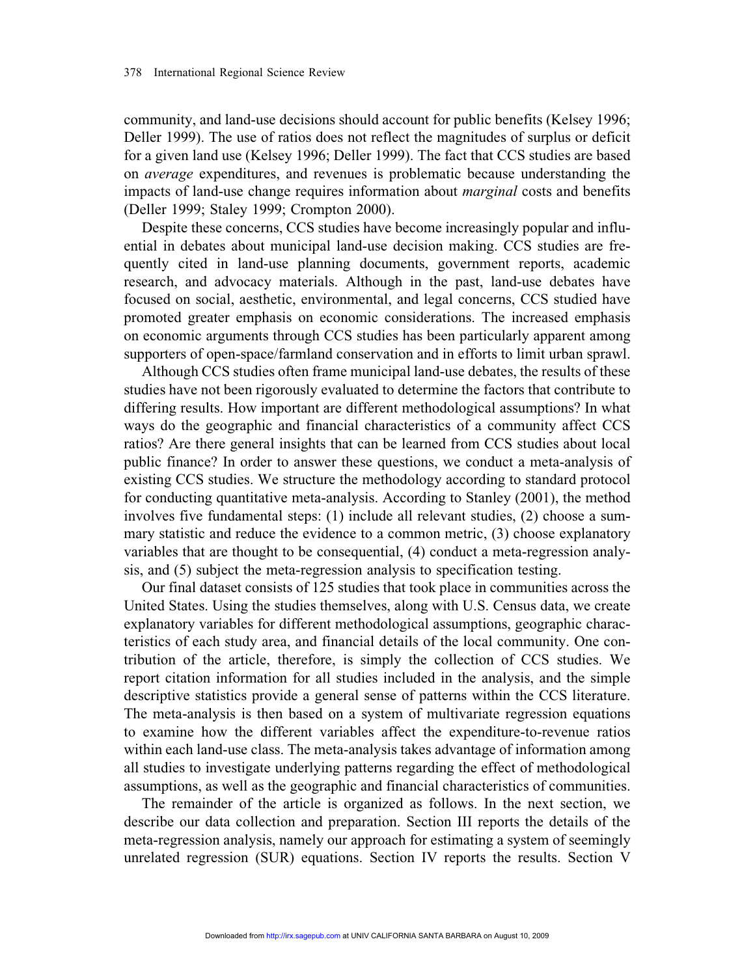community, and land-use decisions should account for public benefits (Kelsey 1996; Deller 1999). The use of ratios does not reflect the magnitudes of surplus or deficit for a given land use (Kelsey 1996; Deller 1999). The fact that CCS studies are based on average expenditures, and revenues is problematic because understanding the impacts of land-use change requires information about marginal costs and benefits (Deller 1999; Staley 1999; Crompton 2000).

Despite these concerns, CCS studies have become increasingly popular and influential in debates about municipal land-use decision making. CCS studies are frequently cited in land-use planning documents, government reports, academic research, and advocacy materials. Although in the past, land-use debates have focused on social, aesthetic, environmental, and legal concerns, CCS studied have promoted greater emphasis on economic considerations. The increased emphasis on economic arguments through CCS studies has been particularly apparent among supporters of open-space/farmland conservation and in efforts to limit urban sprawl.

Although CCS studies often frame municipal land-use debates, the results of these studies have not been rigorously evaluated to determine the factors that contribute to differing results. How important are different methodological assumptions? In what ways do the geographic and financial characteristics of a community affect CCS ratios? Are there general insights that can be learned from CCS studies about local public finance? In order to answer these questions, we conduct a meta-analysis of existing CCS studies. We structure the methodology according to standard protocol for conducting quantitative meta-analysis. According to Stanley (2001), the method involves five fundamental steps: (1) include all relevant studies, (2) choose a summary statistic and reduce the evidence to a common metric, (3) choose explanatory variables that are thought to be consequential, (4) conduct a meta-regression analysis, and (5) subject the meta-regression analysis to specification testing.

Our final dataset consists of 125 studies that took place in communities across the United States. Using the studies themselves, along with U.S. Census data, we create explanatory variables for different methodological assumptions, geographic characteristics of each study area, and financial details of the local community. One contribution of the article, therefore, is simply the collection of CCS studies. We report citation information for all studies included in the analysis, and the simple descriptive statistics provide a general sense of patterns within the CCS literature. The meta-analysis is then based on a system of multivariate regression equations to examine how the different variables affect the expenditure-to-revenue ratios within each land-use class. The meta-analysis takes advantage of information among all studies to investigate underlying patterns regarding the effect of methodological assumptions, as well as the geographic and financial characteristics of communities.

The remainder of the article is organized as follows. In the next section, we describe our data collection and preparation. Section III reports the details of the meta-regression analysis, namely our approach for estimating a system of seemingly unrelated regression (SUR) equations. Section IV reports the results. Section V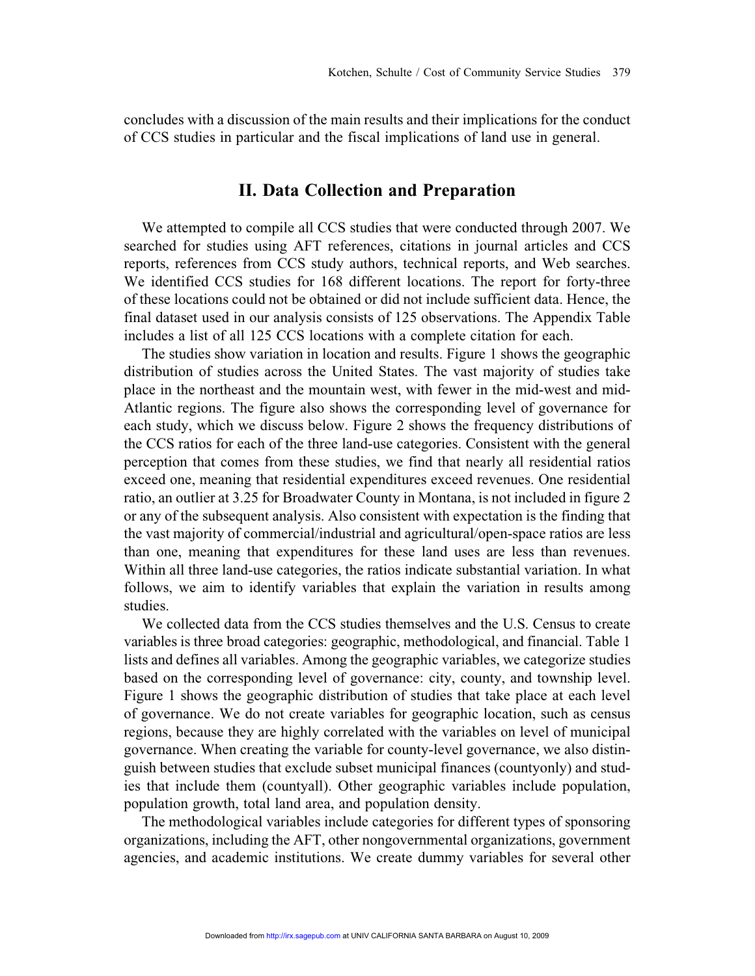concludes with a discussion of the main results and their implications for the conduct of CCS studies in particular and the fiscal implications of land use in general.

### II. Data Collection and Preparation

We attempted to compile all CCS studies that were conducted through 2007. We searched for studies using AFT references, citations in journal articles and CCS reports, references from CCS study authors, technical reports, and Web searches. We identified CCS studies for 168 different locations. The report for forty-three of these locations could not be obtained or did not include sufficient data. Hence, the final dataset used in our analysis consists of 125 observations. The Appendix Table includes a list of all 125 CCS locations with a complete citation for each.

The studies show variation in location and results. Figure 1 shows the geographic distribution of studies across the United States. The vast majority of studies take place in the northeast and the mountain west, with fewer in the mid-west and mid-Atlantic regions. The figure also shows the corresponding level of governance for each study, which we discuss below. Figure 2 shows the frequency distributions of the CCS ratios for each of the three land-use categories. Consistent with the general perception that comes from these studies, we find that nearly all residential ratios exceed one, meaning that residential expenditures exceed revenues. One residential ratio, an outlier at 3.25 for Broadwater County in Montana, is not included in figure 2 or any of the subsequent analysis. Also consistent with expectation is the finding that the vast majority of commercial/industrial and agricultural/open-space ratios are less than one, meaning that expenditures for these land uses are less than revenues. Within all three land-use categories, the ratios indicate substantial variation. In what follows, we aim to identify variables that explain the variation in results among studies.

We collected data from the CCS studies themselves and the U.S. Census to create variables is three broad categories: geographic, methodological, and financial. Table 1 lists and defines all variables. Among the geographic variables, we categorize studies based on the corresponding level of governance: city, county, and township level. Figure 1 shows the geographic distribution of studies that take place at each level of governance. We do not create variables for geographic location, such as census regions, because they are highly correlated with the variables on level of municipal governance. When creating the variable for county-level governance, we also distinguish between studies that exclude subset municipal finances (countyonly) and studies that include them (countyall). Other geographic variables include population, population growth, total land area, and population density.

The methodological variables include categories for different types of sponsoring organizations, including the AFT, other nongovernmental organizations, government agencies, and academic institutions. We create dummy variables for several other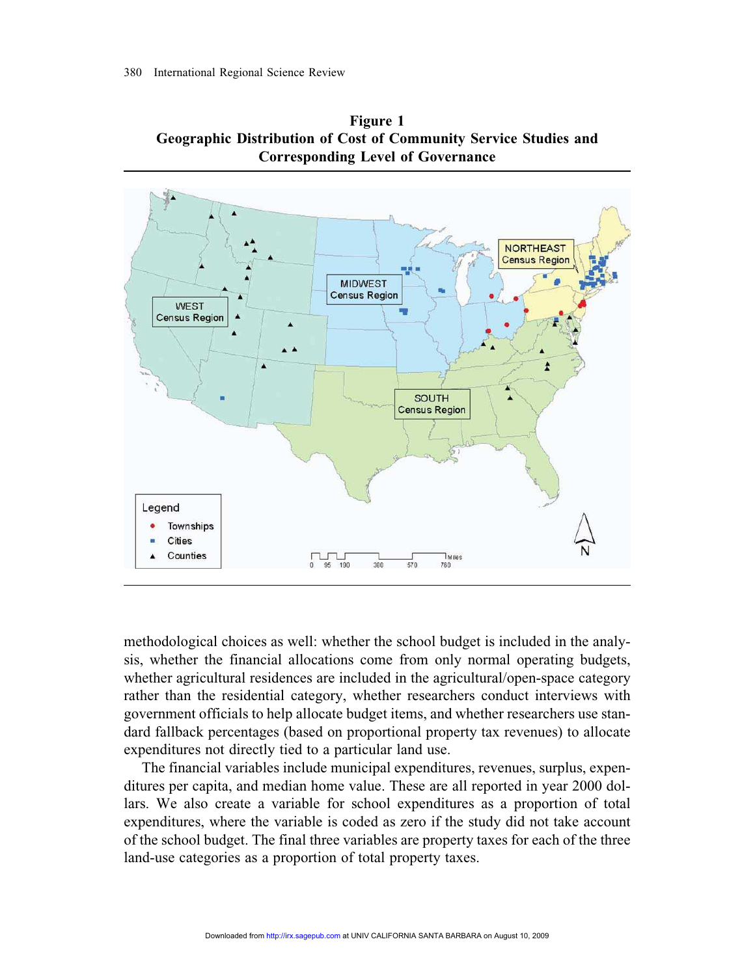

Figure 1 Geographic Distribution of Cost of Community Service Studies and Corresponding Level of Governance

methodological choices as well: whether the school budget is included in the analysis, whether the financial allocations come from only normal operating budgets, whether agricultural residences are included in the agricultural/open-space category rather than the residential category, whether researchers conduct interviews with government officials to help allocate budget items, and whether researchers use standard fallback percentages (based on proportional property tax revenues) to allocate expenditures not directly tied to a particular land use.

The financial variables include municipal expenditures, revenues, surplus, expenditures per capita, and median home value. These are all reported in year 2000 dollars. We also create a variable for school expenditures as a proportion of total expenditures, where the variable is coded as zero if the study did not take account of the school budget. The final three variables are property taxes for each of the three land-use categories as a proportion of total property taxes.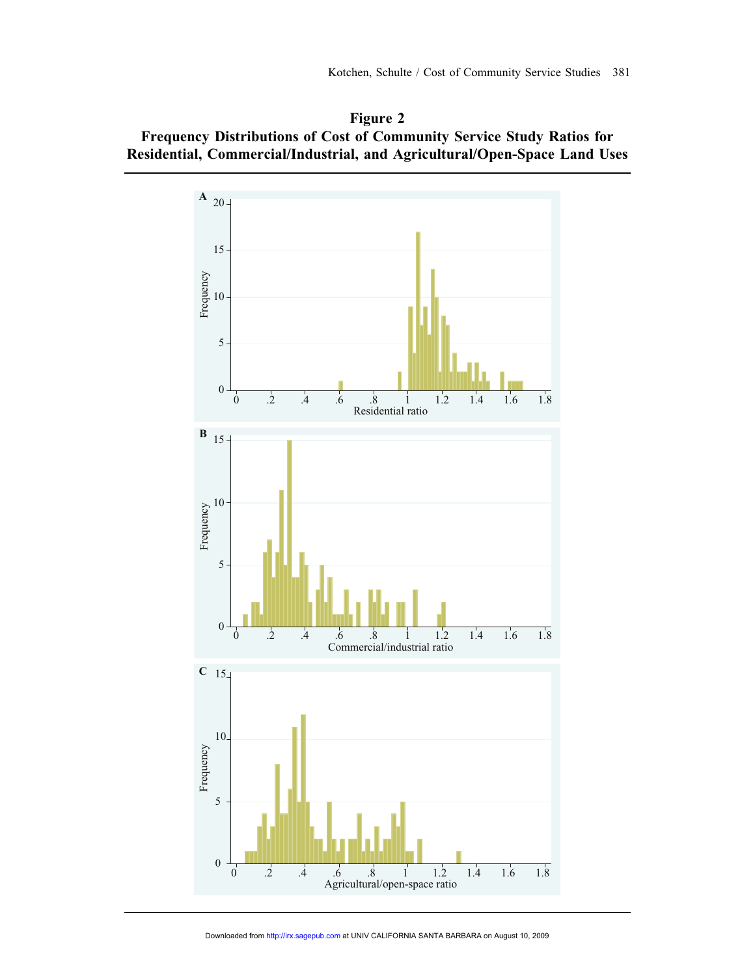

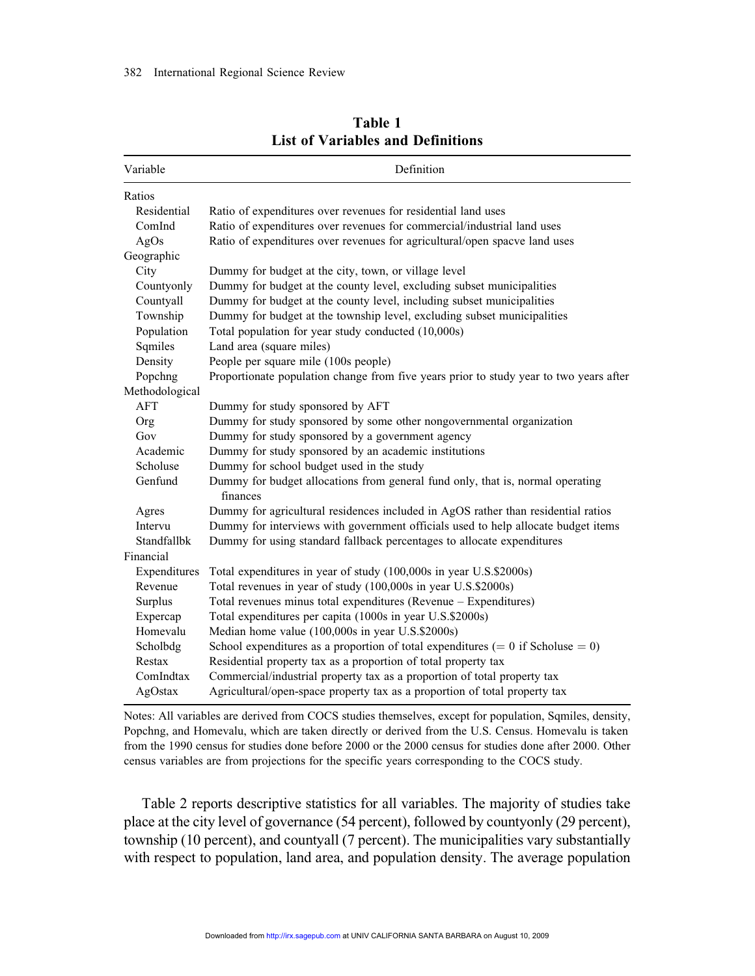| Ratios<br>Residential<br>Ratio of expenditures over revenues for residential land uses<br>Ratio of expenditures over revenues for commercial/industrial land uses<br>ComInd<br>Ratio of expenditures over revenues for agricultural/open spacve land uses<br>AgOs<br>Geographic<br>City<br>Dummy for budget at the city, town, or village level<br>Dummy for budget at the county level, excluding subset municipalities<br>Countyonly<br>Dummy for budget at the county level, including subset municipalities<br>Countyall<br>Dummy for budget at the township level, excluding subset municipalities<br>Township<br>Population<br>Total population for year study conducted (10,000s)<br>Sqmiles<br>Land area (square miles)<br>Density<br>People per square mile (100s people)<br>Popchng<br>Proportionate population change from five years prior to study year to two years after<br>Methodological<br><b>AFT</b><br>Dummy for study sponsored by AFT | Variable | Definition                                                           |
|-------------------------------------------------------------------------------------------------------------------------------------------------------------------------------------------------------------------------------------------------------------------------------------------------------------------------------------------------------------------------------------------------------------------------------------------------------------------------------------------------------------------------------------------------------------------------------------------------------------------------------------------------------------------------------------------------------------------------------------------------------------------------------------------------------------------------------------------------------------------------------------------------------------------------------------------------------------|----------|----------------------------------------------------------------------|
|                                                                                                                                                                                                                                                                                                                                                                                                                                                                                                                                                                                                                                                                                                                                                                                                                                                                                                                                                             |          |                                                                      |
|                                                                                                                                                                                                                                                                                                                                                                                                                                                                                                                                                                                                                                                                                                                                                                                                                                                                                                                                                             |          |                                                                      |
|                                                                                                                                                                                                                                                                                                                                                                                                                                                                                                                                                                                                                                                                                                                                                                                                                                                                                                                                                             |          |                                                                      |
|                                                                                                                                                                                                                                                                                                                                                                                                                                                                                                                                                                                                                                                                                                                                                                                                                                                                                                                                                             |          |                                                                      |
|                                                                                                                                                                                                                                                                                                                                                                                                                                                                                                                                                                                                                                                                                                                                                                                                                                                                                                                                                             |          |                                                                      |
|                                                                                                                                                                                                                                                                                                                                                                                                                                                                                                                                                                                                                                                                                                                                                                                                                                                                                                                                                             |          |                                                                      |
|                                                                                                                                                                                                                                                                                                                                                                                                                                                                                                                                                                                                                                                                                                                                                                                                                                                                                                                                                             |          |                                                                      |
|                                                                                                                                                                                                                                                                                                                                                                                                                                                                                                                                                                                                                                                                                                                                                                                                                                                                                                                                                             |          |                                                                      |
|                                                                                                                                                                                                                                                                                                                                                                                                                                                                                                                                                                                                                                                                                                                                                                                                                                                                                                                                                             |          |                                                                      |
|                                                                                                                                                                                                                                                                                                                                                                                                                                                                                                                                                                                                                                                                                                                                                                                                                                                                                                                                                             |          |                                                                      |
|                                                                                                                                                                                                                                                                                                                                                                                                                                                                                                                                                                                                                                                                                                                                                                                                                                                                                                                                                             |          |                                                                      |
|                                                                                                                                                                                                                                                                                                                                                                                                                                                                                                                                                                                                                                                                                                                                                                                                                                                                                                                                                             |          |                                                                      |
|                                                                                                                                                                                                                                                                                                                                                                                                                                                                                                                                                                                                                                                                                                                                                                                                                                                                                                                                                             |          |                                                                      |
|                                                                                                                                                                                                                                                                                                                                                                                                                                                                                                                                                                                                                                                                                                                                                                                                                                                                                                                                                             |          |                                                                      |
|                                                                                                                                                                                                                                                                                                                                                                                                                                                                                                                                                                                                                                                                                                                                                                                                                                                                                                                                                             |          |                                                                      |
|                                                                                                                                                                                                                                                                                                                                                                                                                                                                                                                                                                                                                                                                                                                                                                                                                                                                                                                                                             | Org      | Dummy for study sponsored by some other nongovernmental organization |
| Dummy for study sponsored by a government agency<br>Gov                                                                                                                                                                                                                                                                                                                                                                                                                                                                                                                                                                                                                                                                                                                                                                                                                                                                                                     |          |                                                                      |
| Academic<br>Dummy for study sponsored by an academic institutions                                                                                                                                                                                                                                                                                                                                                                                                                                                                                                                                                                                                                                                                                                                                                                                                                                                                                           |          |                                                                      |
| Scholuse<br>Dummy for school budget used in the study                                                                                                                                                                                                                                                                                                                                                                                                                                                                                                                                                                                                                                                                                                                                                                                                                                                                                                       |          |                                                                      |
| Genfund<br>Dummy for budget allocations from general fund only, that is, normal operating<br>finances                                                                                                                                                                                                                                                                                                                                                                                                                                                                                                                                                                                                                                                                                                                                                                                                                                                       |          |                                                                      |
| Dummy for agricultural residences included in AgOS rather than residential ratios<br>Agres                                                                                                                                                                                                                                                                                                                                                                                                                                                                                                                                                                                                                                                                                                                                                                                                                                                                  |          |                                                                      |
| Dummy for interviews with government officials used to help allocate budget items<br>Intervu                                                                                                                                                                                                                                                                                                                                                                                                                                                                                                                                                                                                                                                                                                                                                                                                                                                                |          |                                                                      |
| Dummy for using standard fallback percentages to allocate expenditures<br>Standfallbk                                                                                                                                                                                                                                                                                                                                                                                                                                                                                                                                                                                                                                                                                                                                                                                                                                                                       |          |                                                                      |
| Financial                                                                                                                                                                                                                                                                                                                                                                                                                                                                                                                                                                                                                                                                                                                                                                                                                                                                                                                                                   |          |                                                                      |
| Total expenditures in year of study (100,000s in year U.S.\$2000s)<br>Expenditures                                                                                                                                                                                                                                                                                                                                                                                                                                                                                                                                                                                                                                                                                                                                                                                                                                                                          |          |                                                                      |
| Total revenues in year of study (100,000s in year U.S.\$2000s)<br>Revenue                                                                                                                                                                                                                                                                                                                                                                                                                                                                                                                                                                                                                                                                                                                                                                                                                                                                                   |          |                                                                      |
| Total revenues minus total expenditures (Revenue - Expenditures)<br><b>Surplus</b>                                                                                                                                                                                                                                                                                                                                                                                                                                                                                                                                                                                                                                                                                                                                                                                                                                                                          |          |                                                                      |
| Total expenditures per capita (1000s in year U.S.\$2000s)<br>Expercap                                                                                                                                                                                                                                                                                                                                                                                                                                                                                                                                                                                                                                                                                                                                                                                                                                                                                       |          |                                                                      |
| Median home value (100,000s in year U.S.\$2000s)<br>Homevalu                                                                                                                                                                                                                                                                                                                                                                                                                                                                                                                                                                                                                                                                                                                                                                                                                                                                                                |          |                                                                      |
| School expenditures as a proportion of total expenditures (= $0$ if Scholuse = $0$ )<br>Scholbdg                                                                                                                                                                                                                                                                                                                                                                                                                                                                                                                                                                                                                                                                                                                                                                                                                                                            |          |                                                                      |
| Residential property tax as a proportion of total property tax<br>Restax                                                                                                                                                                                                                                                                                                                                                                                                                                                                                                                                                                                                                                                                                                                                                                                                                                                                                    |          |                                                                      |
| Commercial/industrial property tax as a proportion of total property tax<br>ComIndtax                                                                                                                                                                                                                                                                                                                                                                                                                                                                                                                                                                                                                                                                                                                                                                                                                                                                       |          |                                                                      |
| Agricultural/open-space property tax as a proportion of total property tax<br>AgOstax                                                                                                                                                                                                                                                                                                                                                                                                                                                                                                                                                                                                                                                                                                                                                                                                                                                                       |          |                                                                      |

Table 1 List of Variables and Definitions

Notes: All variables are derived from COCS studies themselves, except for population, Sqmiles, density, Popchng, and Homevalu, which are taken directly or derived from the U.S. Census. Homevalu is taken from the 1990 census for studies done before 2000 or the 2000 census for studies done after 2000. Other census variables are from projections for the specific years corresponding to the COCS study.

Table 2 reports descriptive statistics for all variables. The majority of studies take place at the city level of governance (54 percent), followed by countyonly (29 percent), township (10 percent), and countyall (7 percent). The municipalities vary substantially with respect to population, land area, and population density. The average population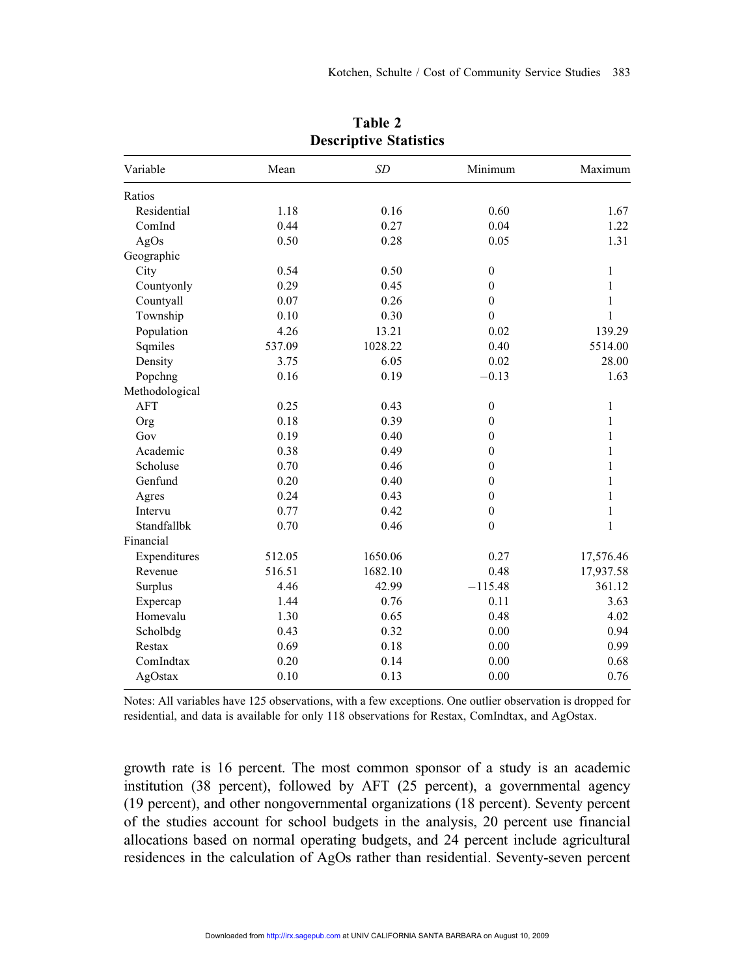|                |        | Descriptive Statistics |                  |              |
|----------------|--------|------------------------|------------------|--------------|
| Variable       | Mean   | SD                     | Minimum          | Maximum      |
| Ratios         |        |                        |                  |              |
| Residential    | 1.18   | 0.16                   | 0.60             | 1.67         |
| ComInd         | 0.44   | 0.27                   | 0.04             | 1.22         |
| AgOs           | 0.50   | 0.28                   | 0.05             | 1.31         |
| Geographic     |        |                        |                  |              |
| City           | 0.54   | 0.50                   | $\boldsymbol{0}$ | $\mathbf{1}$ |
| Countyonly     | 0.29   | 0.45                   | $\boldsymbol{0}$ | $\mathbf{1}$ |
| Countyall      | 0.07   | 0.26                   | $\boldsymbol{0}$ | $\mathbf{1}$ |
| Township       | 0.10   | 0.30                   | $\boldsymbol{0}$ | $\mathbf{1}$ |
| Population     | 4.26   | 13.21                  | 0.02             | 139.29       |
| Sqmiles        | 537.09 | 1028.22                | 0.40             | 5514.00      |
| Density        | 3.75   | 6.05                   | 0.02             | 28.00        |
| Popchng        | 0.16   | 0.19                   | $-0.13$          | 1.63         |
| Methodological |        |                        |                  |              |
| <b>AFT</b>     | 0.25   | 0.43                   | $\boldsymbol{0}$ | $\mathbf{1}$ |
| Org            | 0.18   | 0.39                   | $\boldsymbol{0}$ | $\mathbf{1}$ |
| Gov            | 0.19   | 0.40                   | $\boldsymbol{0}$ | $\mathbf{1}$ |
| Academic       | 0.38   | 0.49                   | $\boldsymbol{0}$ | $\mathbf{1}$ |
| Scholuse       | 0.70   | 0.46                   | $\boldsymbol{0}$ | $\mathbf{1}$ |
| Genfund        | 0.20   | 0.40                   | $\boldsymbol{0}$ | $\mathbf{1}$ |
| Agres          | 0.24   | 0.43                   | $\boldsymbol{0}$ | $\mathbf{1}$ |
| Intervu        | 0.77   | 0.42                   | $\boldsymbol{0}$ | $\mathbf{1}$ |
| Standfallbk    | 0.70   | 0.46                   | $\boldsymbol{0}$ | $\mathbf{1}$ |
| Financial      |        |                        |                  |              |
| Expenditures   | 512.05 | 1650.06                | 0.27             | 17,576.46    |
| Revenue        | 516.51 | 1682.10                | 0.48             | 17,937.58    |
| Surplus        | 4.46   | 42.99                  | $-115.48$        | 361.12       |
| Expercap       | 1.44   | 0.76                   | 0.11             | 3.63         |
| Homevalu       | 1.30   | 0.65                   | 0.48             | 4.02         |
| Scholbdg       | 0.43   | 0.32                   | 0.00             | 0.94         |
| Restax         | 0.69   | 0.18                   | 0.00             | 0.99         |
| ComIndtax      | 0.20   | 0.14                   | 0.00             | 0.68         |
| AgOstax        | 0.10   | 0.13                   | 0.00             | 0.76         |

Table 2 Descriptive Statistics

Notes: All variables have 125 observations, with a few exceptions. One outlier observation is dropped for residential, and data is available for only 118 observations for Restax, ComIndtax, and AgOstax.

growth rate is 16 percent. The most common sponsor of a study is an academic institution (38 percent), followed by AFT (25 percent), a governmental agency (19 percent), and other nongovernmental organizations (18 percent). Seventy percent of the studies account for school budgets in the analysis, 20 percent use financial allocations based on normal operating budgets, and 24 percent include agricultural residences in the calculation of AgOs rather than residential. Seventy-seven percent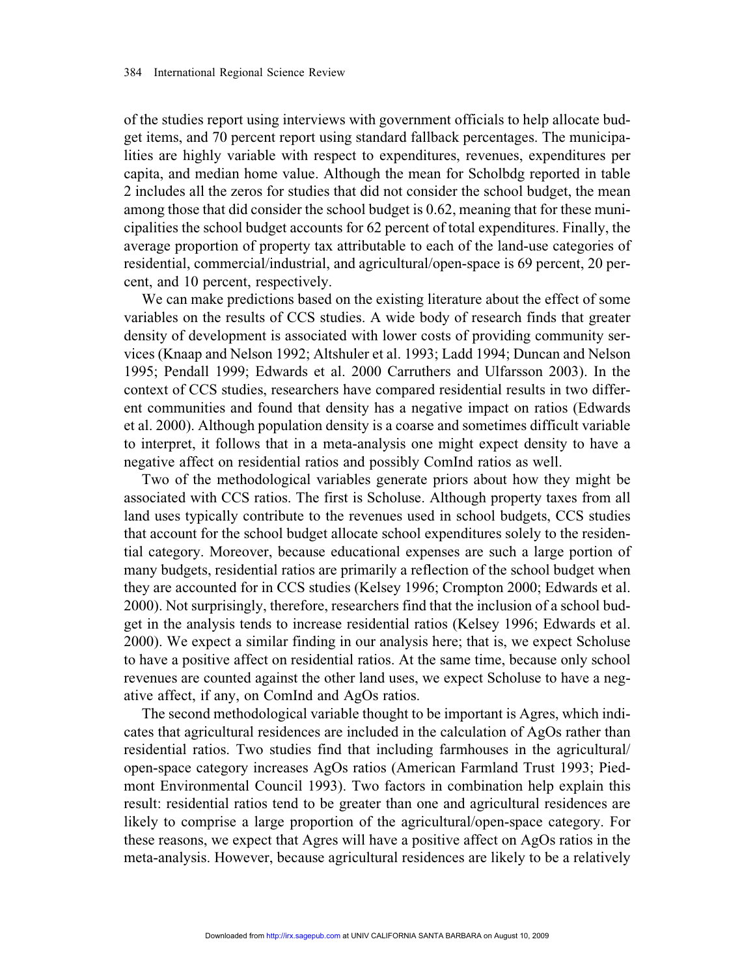of the studies report using interviews with government officials to help allocate budget items, and 70 percent report using standard fallback percentages. The municipalities are highly variable with respect to expenditures, revenues, expenditures per capita, and median home value. Although the mean for Scholbdg reported in table 2 includes all the zeros for studies that did not consider the school budget, the mean among those that did consider the school budget is 0.62, meaning that for these municipalities the school budget accounts for 62 percent of total expenditures. Finally, the average proportion of property tax attributable to each of the land-use categories of residential, commercial/industrial, and agricultural/open-space is 69 percent, 20 percent, and 10 percent, respectively.

We can make predictions based on the existing literature about the effect of some variables on the results of CCS studies. A wide body of research finds that greater density of development is associated with lower costs of providing community services (Knaap and Nelson 1992; Altshuler et al. 1993; Ladd 1994; Duncan and Nelson 1995; Pendall 1999; Edwards et al. 2000 Carruthers and Ulfarsson 2003). In the context of CCS studies, researchers have compared residential results in two different communities and found that density has a negative impact on ratios (Edwards et al. 2000). Although population density is a coarse and sometimes difficult variable to interpret, it follows that in a meta-analysis one might expect density to have a negative affect on residential ratios and possibly ComInd ratios as well.

Two of the methodological variables generate priors about how they might be associated with CCS ratios. The first is Scholuse. Although property taxes from all land uses typically contribute to the revenues used in school budgets, CCS studies that account for the school budget allocate school expenditures solely to the residential category. Moreover, because educational expenses are such a large portion of many budgets, residential ratios are primarily a reflection of the school budget when they are accounted for in CCS studies (Kelsey 1996; Crompton 2000; Edwards et al. 2000). Not surprisingly, therefore, researchers find that the inclusion of a school budget in the analysis tends to increase residential ratios (Kelsey 1996; Edwards et al. 2000). We expect a similar finding in our analysis here; that is, we expect Scholuse to have a positive affect on residential ratios. At the same time, because only school revenues are counted against the other land uses, we expect Scholuse to have a negative affect, if any, on ComInd and AgOs ratios.

The second methodological variable thought to be important is Agres, which indicates that agricultural residences are included in the calculation of AgOs rather than residential ratios. Two studies find that including farmhouses in the agricultural/ open-space category increases AgOs ratios (American Farmland Trust 1993; Piedmont Environmental Council 1993). Two factors in combination help explain this result: residential ratios tend to be greater than one and agricultural residences are likely to comprise a large proportion of the agricultural/open-space category. For these reasons, we expect that Agres will have a positive affect on AgOs ratios in the meta-analysis. However, because agricultural residences are likely to be a relatively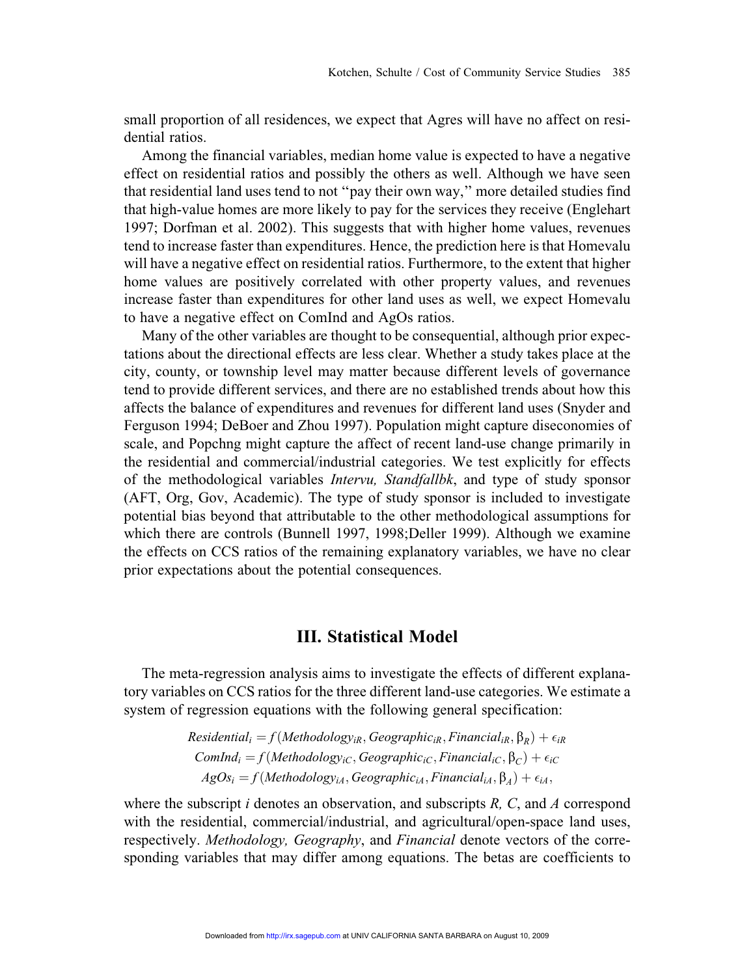small proportion of all residences, we expect that Agres will have no affect on residential ratios.

Among the financial variables, median home value is expected to have a negative effect on residential ratios and possibly the others as well. Although we have seen that residential land uses tend to not ''pay their own way,'' more detailed studies find that high-value homes are more likely to pay for the services they receive (Englehart 1997; Dorfman et al. 2002). This suggests that with higher home values, revenues tend to increase faster than expenditures. Hence, the prediction here is that Homevalu will have a negative effect on residential ratios. Furthermore, to the extent that higher home values are positively correlated with other property values, and revenues increase faster than expenditures for other land uses as well, we expect Homevalu to have a negative effect on ComInd and AgOs ratios.

Many of the other variables are thought to be consequential, although prior expectations about the directional effects are less clear. Whether a study takes place at the city, county, or township level may matter because different levels of governance tend to provide different services, and there are no established trends about how this affects the balance of expenditures and revenues for different land uses (Snyder and Ferguson 1994; DeBoer and Zhou 1997). Population might capture diseconomies of scale, and Popchng might capture the affect of recent land-use change primarily in the residential and commercial/industrial categories. We test explicitly for effects of the methodological variables Intervu, Standfallbk, and type of study sponsor (AFT, Org, Gov, Academic). The type of study sponsor is included to investigate potential bias beyond that attributable to the other methodological assumptions for which there are controls (Bunnell 1997, 1998;Deller 1999). Although we examine the effects on CCS ratios of the remaining explanatory variables, we have no clear prior expectations about the potential consequences.

#### III. Statistical Model

The meta-regression analysis aims to investigate the effects of different explanatory variables on CCS ratios for the three different land-use categories. We estimate a system of regression equations with the following general specification:

> $\textit{Residential}_i = f(\textit{Methodology}_{iR}, \textit{Geographic}_{iR}, \textit{Financial}_{iR}, \beta_R) + \epsilon_{iR}$  $ComInd_i = f(Methodology_{iC}, Geographic_{iC}, Financial_{iC}, \beta_C) + \epsilon_{iC}$  $AgOs_i = f(Methodology_{iA}, Geographic_{iA}, Financial_{iA}, \beta_A) + \epsilon_{iA},$

where the subscript i denotes an observation, and subscripts  $R$ ,  $C$ , and  $A$  correspond with the residential, commercial/industrial, and agricultural/open-space land uses, respectively. Methodology, Geography, and Financial denote vectors of the corresponding variables that may differ among equations. The betas are coefficients to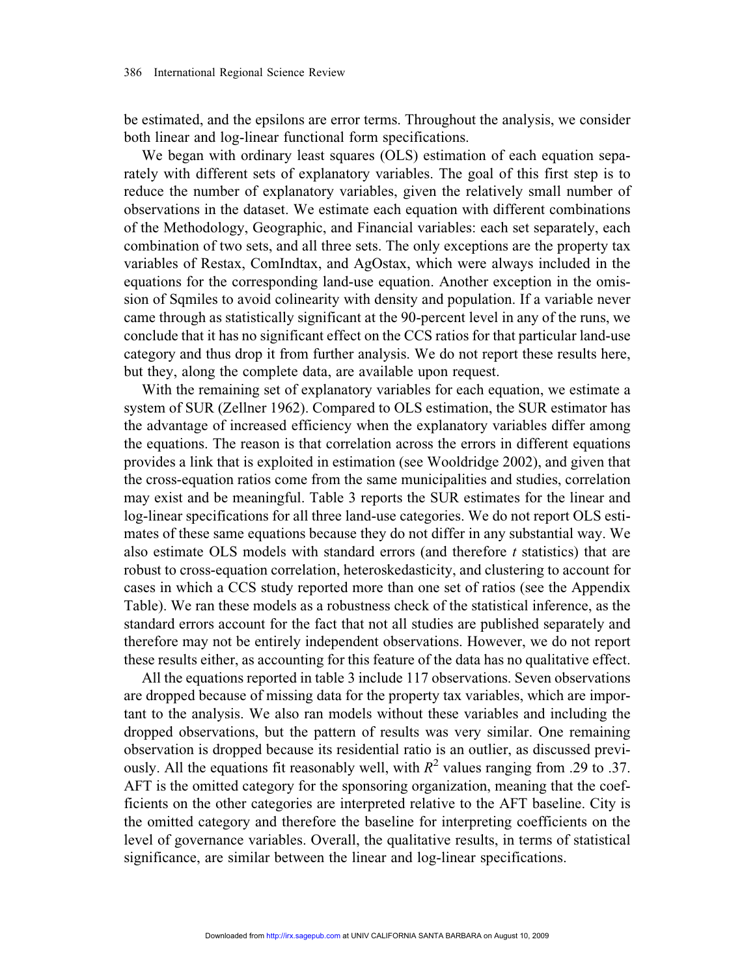be estimated, and the epsilons are error terms. Throughout the analysis, we consider both linear and log-linear functional form specifications.

We began with ordinary least squares (OLS) estimation of each equation separately with different sets of explanatory variables. The goal of this first step is to reduce the number of explanatory variables, given the relatively small number of observations in the dataset. We estimate each equation with different combinations of the Methodology, Geographic, and Financial variables: each set separately, each combination of two sets, and all three sets. The only exceptions are the property tax variables of Restax, ComIndtax, and AgOstax, which were always included in the equations for the corresponding land-use equation. Another exception in the omission of Sqmiles to avoid colinearity with density and population. If a variable never came through as statistically significant at the 90-percent level in any of the runs, we conclude that it has no significant effect on the CCS ratios for that particular land-use category and thus drop it from further analysis. We do not report these results here, but they, along the complete data, are available upon request.

With the remaining set of explanatory variables for each equation, we estimate a system of SUR (Zellner 1962). Compared to OLS estimation, the SUR estimator has the advantage of increased efficiency when the explanatory variables differ among the equations. The reason is that correlation across the errors in different equations provides a link that is exploited in estimation (see Wooldridge 2002), and given that the cross-equation ratios come from the same municipalities and studies, correlation may exist and be meaningful. Table 3 reports the SUR estimates for the linear and log-linear specifications for all three land-use categories. We do not report OLS estimates of these same equations because they do not differ in any substantial way. We also estimate OLS models with standard errors (and therefore  $t$  statistics) that are robust to cross-equation correlation, heteroskedasticity, and clustering to account for cases in which a CCS study reported more than one set of ratios (see the Appendix Table). We ran these models as a robustness check of the statistical inference, as the standard errors account for the fact that not all studies are published separately and therefore may not be entirely independent observations. However, we do not report these results either, as accounting for this feature of the data has no qualitative effect.

All the equations reported in table 3 include 117 observations. Seven observations are dropped because of missing data for the property tax variables, which are important to the analysis. We also ran models without these variables and including the dropped observations, but the pattern of results was very similar. One remaining observation is dropped because its residential ratio is an outlier, as discussed previously. All the equations fit reasonably well, with  $R^2$  values ranging from .29 to .37. AFT is the omitted category for the sponsoring organization, meaning that the coefficients on the other categories are interpreted relative to the AFT baseline. City is the omitted category and therefore the baseline for interpreting coefficients on the level of governance variables. Overall, the qualitative results, in terms of statistical significance, are similar between the linear and log-linear specifications.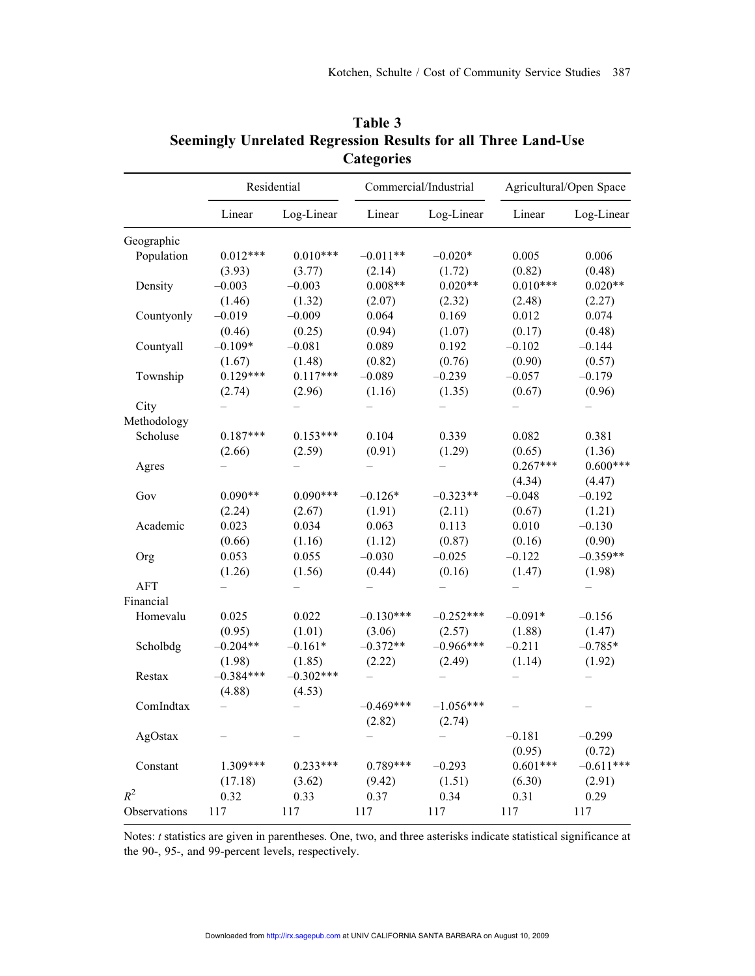|              | Residential |             | Commercial/Industrial |             | Agricultural/Open Space |             |
|--------------|-------------|-------------|-----------------------|-------------|-------------------------|-------------|
|              | Linear      | Log-Linear  | Linear                | Log-Linear  | Linear                  | Log-Linear  |
| Geographic   |             |             |                       |             |                         |             |
| Population   | $0.012***$  | $0.010***$  | $-0.011**$            | $-0.020*$   | 0.005                   | 0.006       |
|              | (3.93)      | (3.77)      | (2.14)                | (1.72)      | (0.82)                  | (0.48)      |
| Density      | $-0.003$    | $-0.003$    | $0.008**$             | $0.020**$   | $0.010***$              | $0.020**$   |
|              | (1.46)      | (1.32)      | (2.07)                | (2.32)      | (2.48)                  | (2.27)      |
| Countyonly   | $-0.019$    | $-0.009$    | 0.064                 | 0.169       | 0.012                   | 0.074       |
|              | (0.46)      | (0.25)      | (0.94)                | (1.07)      | (0.17)                  | (0.48)      |
| Countyall    | $-0.109*$   | $-0.081$    | 0.089                 | 0.192       | $-0.102$                | $-0.144$    |
|              | (1.67)      | (1.48)      | (0.82)                | (0.76)      | (0.90)                  | (0.57)      |
| Township     | $0.129***$  | $0.117***$  | $-0.089$              | $-0.239$    | $-0.057$                | $-0.179$    |
|              | (2.74)      | (2.96)      | (1.16)                | (1.35)      | (0.67)                  | (0.96)      |
| City         |             |             |                       |             |                         |             |
| Methodology  |             |             |                       |             |                         |             |
| Scholuse     | $0.187***$  | $0.153***$  | 0.104                 | 0.339       | 0.082                   | 0.381       |
|              | (2.66)      | (2.59)      | (0.91)                | (1.29)      | (0.65)                  | (1.36)      |
| Agres        |             |             |                       |             | $0.267***$              | $0.600***$  |
|              |             |             |                       |             | (4.34)                  | (4.47)      |
| Gov          | $0.090**$   | $0.090***$  | $-0.126*$             | $-0.323**$  | $-0.048$                | $-0.192$    |
|              | (2.24)      | (2.67)      | (1.91)                | (2.11)      | (0.67)                  | (1.21)      |
| Academic     | 0.023       | 0.034       | 0.063                 | 0.113       | 0.010                   | $-0.130$    |
|              | (0.66)      | (1.16)      | (1.12)                | (0.87)      | (0.16)                  | (0.90)      |
| Org          | 0.053       | 0.055       | $-0.030$              | $-0.025$    | $-0.122$                | $-0.359**$  |
|              | (1.26)      | (1.56)      | (0.44)                | (0.16)      | (1.47)                  | (1.98)      |
| <b>AFT</b>   |             |             |                       |             |                         |             |
| Financial    |             |             |                       |             |                         |             |
| Homevalu     | 0.025       | 0.022       | $-0.130***$           | $-0.252***$ | $-0.091*$               | $-0.156$    |
|              | (0.95)      | (1.01)      | (3.06)                | (2.57)      | (1.88)                  | (1.47)      |
| Scholbdg     | $-0.204**$  | $-0.161*$   | $-0.372**$            | $-0.966***$ | $-0.211$                | $-0.785*$   |
|              | (1.98)      | (1.85)      | (2.22)                | (2.49)      | (1.14)                  | (1.92)      |
| Restax       | $-0.384***$ | $-0.302***$ |                       |             |                         |             |
|              | (4.88)      | (4.53)      |                       |             |                         |             |
| ComIndtax    |             |             | $-0.469***$           | $-1.056***$ |                         |             |
|              |             |             | (2.82)                | (2.74)      |                         |             |
| AgOstax      |             |             |                       |             | $-0.181$                | $-0.299$    |
|              |             |             |                       |             | (0.95)                  | (0.72)      |
| Constant     | 1.309***    | $0.233***$  | $0.789***$            | $-0.293$    | $0.601***$              | $-0.611***$ |
|              | (17.18)     | (3.62)      | (9.42)                | (1.51)      | (6.30)                  | (2.91)      |
| $R^2$        | 0.32        | 0.33        | 0.37                  | 0.34        | 0.31                    | 0.29        |
| Observations | 117         | 117         | 117                   | 117         | 117                     | 117         |

| Table 3                                                              |
|----------------------------------------------------------------------|
| <b>Seemingly Unrelated Regression Results for all Three Land-Use</b> |
| <b>Categories</b>                                                    |

Notes: t statistics are given in parentheses. One, two, and three asterisks indicate statistical significance at the 90-, 95-, and 99-percent levels, respectively.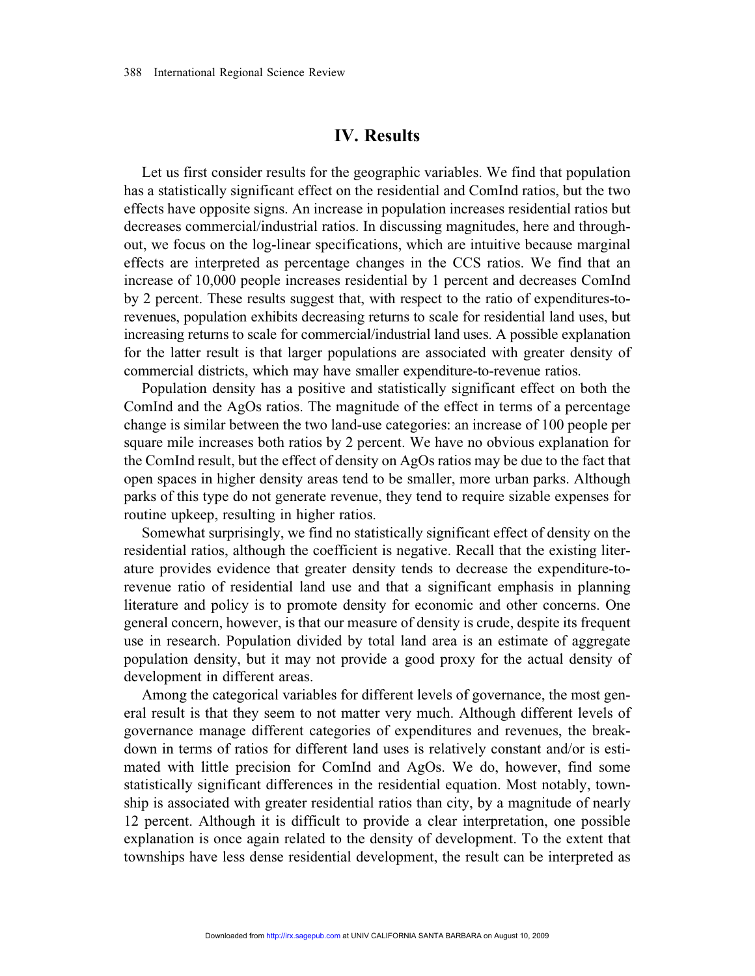#### IV. Results

Let us first consider results for the geographic variables. We find that population has a statistically significant effect on the residential and ComInd ratios, but the two effects have opposite signs. An increase in population increases residential ratios but decreases commercial/industrial ratios. In discussing magnitudes, here and throughout, we focus on the log-linear specifications, which are intuitive because marginal effects are interpreted as percentage changes in the CCS ratios. We find that an increase of 10,000 people increases residential by 1 percent and decreases ComInd by 2 percent. These results suggest that, with respect to the ratio of expenditures-torevenues, population exhibits decreasing returns to scale for residential land uses, but increasing returns to scale for commercial/industrial land uses. A possible explanation for the latter result is that larger populations are associated with greater density of commercial districts, which may have smaller expenditure-to-revenue ratios.

Population density has a positive and statistically significant effect on both the ComInd and the AgOs ratios. The magnitude of the effect in terms of a percentage change is similar between the two land-use categories: an increase of 100 people per square mile increases both ratios by 2 percent. We have no obvious explanation for the ComInd result, but the effect of density on AgOs ratios may be due to the fact that open spaces in higher density areas tend to be smaller, more urban parks. Although parks of this type do not generate revenue, they tend to require sizable expenses for routine upkeep, resulting in higher ratios.

Somewhat surprisingly, we find no statistically significant effect of density on the residential ratios, although the coefficient is negative. Recall that the existing literature provides evidence that greater density tends to decrease the expenditure-torevenue ratio of residential land use and that a significant emphasis in planning literature and policy is to promote density for economic and other concerns. One general concern, however, is that our measure of density is crude, despite its frequent use in research. Population divided by total land area is an estimate of aggregate population density, but it may not provide a good proxy for the actual density of development in different areas.

Among the categorical variables for different levels of governance, the most general result is that they seem to not matter very much. Although different levels of governance manage different categories of expenditures and revenues, the breakdown in terms of ratios for different land uses is relatively constant and/or is estimated with little precision for ComInd and AgOs. We do, however, find some statistically significant differences in the residential equation. Most notably, township is associated with greater residential ratios than city, by a magnitude of nearly 12 percent. Although it is difficult to provide a clear interpretation, one possible explanation is once again related to the density of development. To the extent that townships have less dense residential development, the result can be interpreted as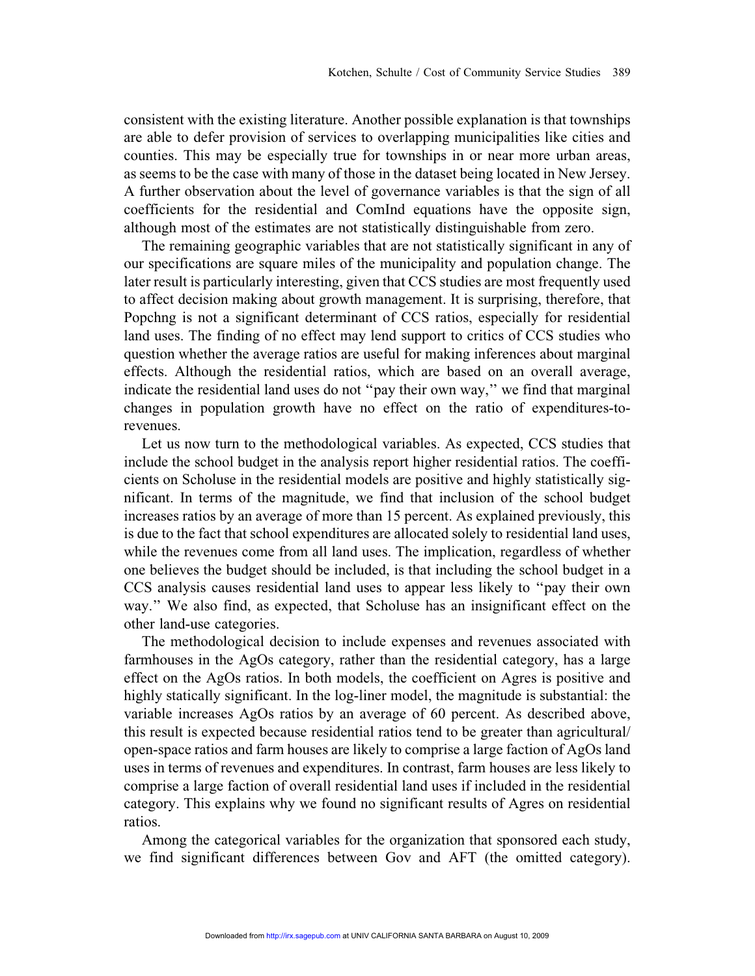consistent with the existing literature. Another possible explanation is that townships are able to defer provision of services to overlapping municipalities like cities and counties. This may be especially true for townships in or near more urban areas, as seems to be the case with many of those in the dataset being located in New Jersey. A further observation about the level of governance variables is that the sign of all coefficients for the residential and ComInd equations have the opposite sign, although most of the estimates are not statistically distinguishable from zero.

The remaining geographic variables that are not statistically significant in any of our specifications are square miles of the municipality and population change. The later result is particularly interesting, given that CCS studies are most frequently used to affect decision making about growth management. It is surprising, therefore, that Popchng is not a significant determinant of CCS ratios, especially for residential land uses. The finding of no effect may lend support to critics of CCS studies who question whether the average ratios are useful for making inferences about marginal effects. Although the residential ratios, which are based on an overall average, indicate the residential land uses do not ''pay their own way,'' we find that marginal changes in population growth have no effect on the ratio of expenditures-torevenues.

Let us now turn to the methodological variables. As expected, CCS studies that include the school budget in the analysis report higher residential ratios. The coefficients on Scholuse in the residential models are positive and highly statistically significant. In terms of the magnitude, we find that inclusion of the school budget increases ratios by an average of more than 15 percent. As explained previously, this is due to the fact that school expenditures are allocated solely to residential land uses, while the revenues come from all land uses. The implication, regardless of whether one believes the budget should be included, is that including the school budget in a CCS analysis causes residential land uses to appear less likely to ''pay their own way.'' We also find, as expected, that Scholuse has an insignificant effect on the other land-use categories.

The methodological decision to include expenses and revenues associated with farmhouses in the AgOs category, rather than the residential category, has a large effect on the AgOs ratios. In both models, the coefficient on Agres is positive and highly statically significant. In the log-liner model, the magnitude is substantial: the variable increases AgOs ratios by an average of 60 percent. As described above, this result is expected because residential ratios tend to be greater than agricultural/ open-space ratios and farm houses are likely to comprise a large faction of AgOs land uses in terms of revenues and expenditures. In contrast, farm houses are less likely to comprise a large faction of overall residential land uses if included in the residential category. This explains why we found no significant results of Agres on residential ratios.

Among the categorical variables for the organization that sponsored each study, we find significant differences between Gov and AFT (the omitted category).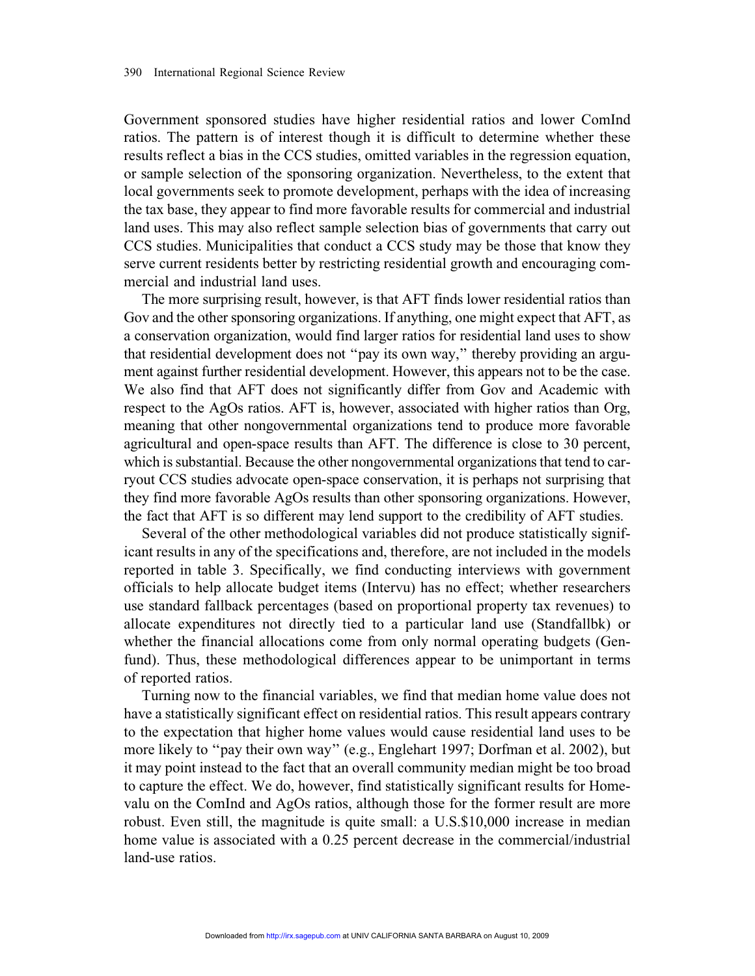Government sponsored studies have higher residential ratios and lower ComInd ratios. The pattern is of interest though it is difficult to determine whether these results reflect a bias in the CCS studies, omitted variables in the regression equation, or sample selection of the sponsoring organization. Nevertheless, to the extent that local governments seek to promote development, perhaps with the idea of increasing the tax base, they appear to find more favorable results for commercial and industrial land uses. This may also reflect sample selection bias of governments that carry out CCS studies. Municipalities that conduct a CCS study may be those that know they serve current residents better by restricting residential growth and encouraging commercial and industrial land uses.

The more surprising result, however, is that AFT finds lower residential ratios than Gov and the other sponsoring organizations. If anything, one might expect that AFT, as a conservation organization, would find larger ratios for residential land uses to show that residential development does not ''pay its own way,'' thereby providing an argument against further residential development. However, this appears not to be the case. We also find that AFT does not significantly differ from Gov and Academic with respect to the AgOs ratios. AFT is, however, associated with higher ratios than Org, meaning that other nongovernmental organizations tend to produce more favorable agricultural and open-space results than AFT. The difference is close to 30 percent, which is substantial. Because the other nongovernmental organizations that tend to carryout CCS studies advocate open-space conservation, it is perhaps not surprising that they find more favorable AgOs results than other sponsoring organizations. However, the fact that AFT is so different may lend support to the credibility of AFT studies.

Several of the other methodological variables did not produce statistically significant results in any of the specifications and, therefore, are not included in the models reported in table 3. Specifically, we find conducting interviews with government officials to help allocate budget items (Intervu) has no effect; whether researchers use standard fallback percentages (based on proportional property tax revenues) to allocate expenditures not directly tied to a particular land use (Standfallbk) or whether the financial allocations come from only normal operating budgets (Genfund). Thus, these methodological differences appear to be unimportant in terms of reported ratios.

Turning now to the financial variables, we find that median home value does not have a statistically significant effect on residential ratios. This result appears contrary to the expectation that higher home values would cause residential land uses to be more likely to ''pay their own way'' (e.g., Englehart 1997; Dorfman et al. 2002), but it may point instead to the fact that an overall community median might be too broad to capture the effect. We do, however, find statistically significant results for Homevalu on the ComInd and AgOs ratios, although those for the former result are more robust. Even still, the magnitude is quite small: a U.S.\$10,000 increase in median home value is associated with a 0.25 percent decrease in the commercial/industrial land-use ratios.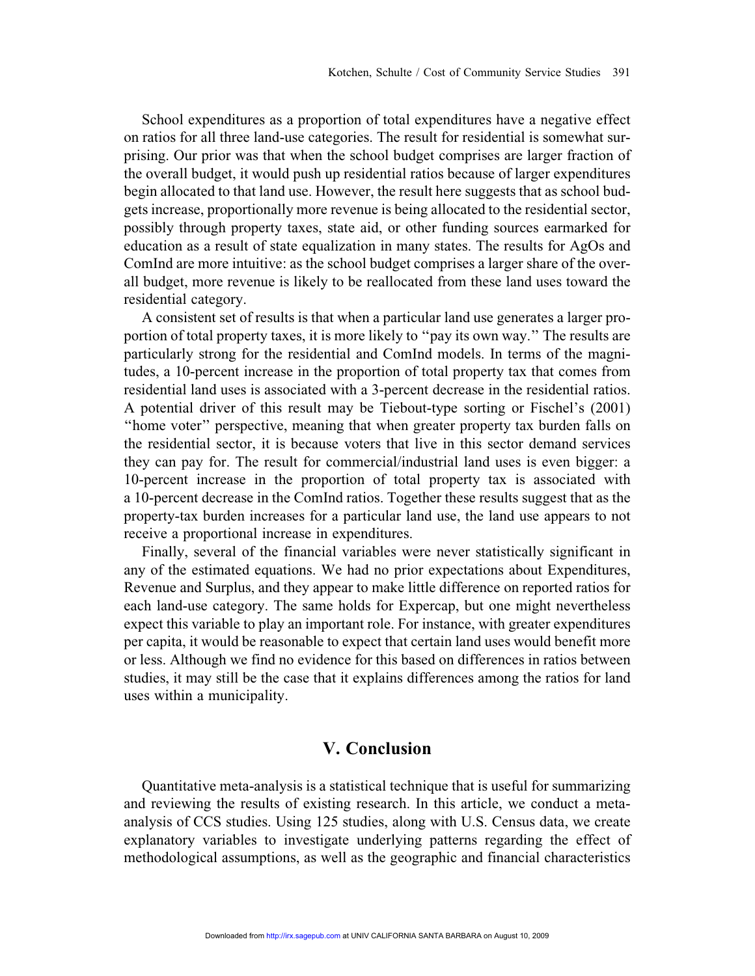School expenditures as a proportion of total expenditures have a negative effect on ratios for all three land-use categories. The result for residential is somewhat surprising. Our prior was that when the school budget comprises are larger fraction of the overall budget, it would push up residential ratios because of larger expenditures begin allocated to that land use. However, the result here suggests that as school budgets increase, proportionally more revenue is being allocated to the residential sector, possibly through property taxes, state aid, or other funding sources earmarked for education as a result of state equalization in many states. The results for AgOs and ComInd are more intuitive: as the school budget comprises a larger share of the overall budget, more revenue is likely to be reallocated from these land uses toward the residential category.

A consistent set of results is that when a particular land use generates a larger proportion of total property taxes, it is more likely to ''pay its own way.'' The results are particularly strong for the residential and ComInd models. In terms of the magnitudes, a 10-percent increase in the proportion of total property tax that comes from residential land uses is associated with a 3-percent decrease in the residential ratios. A potential driver of this result may be Tiebout-type sorting or Fischel's (2001) ''home voter'' perspective, meaning that when greater property tax burden falls on the residential sector, it is because voters that live in this sector demand services they can pay for. The result for commercial/industrial land uses is even bigger: a 10-percent increase in the proportion of total property tax is associated with a 10-percent decrease in the ComInd ratios. Together these results suggest that as the property-tax burden increases for a particular land use, the land use appears to not receive a proportional increase in expenditures.

Finally, several of the financial variables were never statistically significant in any of the estimated equations. We had no prior expectations about Expenditures, Revenue and Surplus, and they appear to make little difference on reported ratios for each land-use category. The same holds for Expercap, but one might nevertheless expect this variable to play an important role. For instance, with greater expenditures per capita, it would be reasonable to expect that certain land uses would benefit more or less. Although we find no evidence for this based on differences in ratios between studies, it may still be the case that it explains differences among the ratios for land uses within a municipality.

#### V. Conclusion

Quantitative meta-analysis is a statistical technique that is useful for summarizing and reviewing the results of existing research. In this article, we conduct a metaanalysis of CCS studies. Using 125 studies, along with U.S. Census data, we create explanatory variables to investigate underlying patterns regarding the effect of methodological assumptions, as well as the geographic and financial characteristics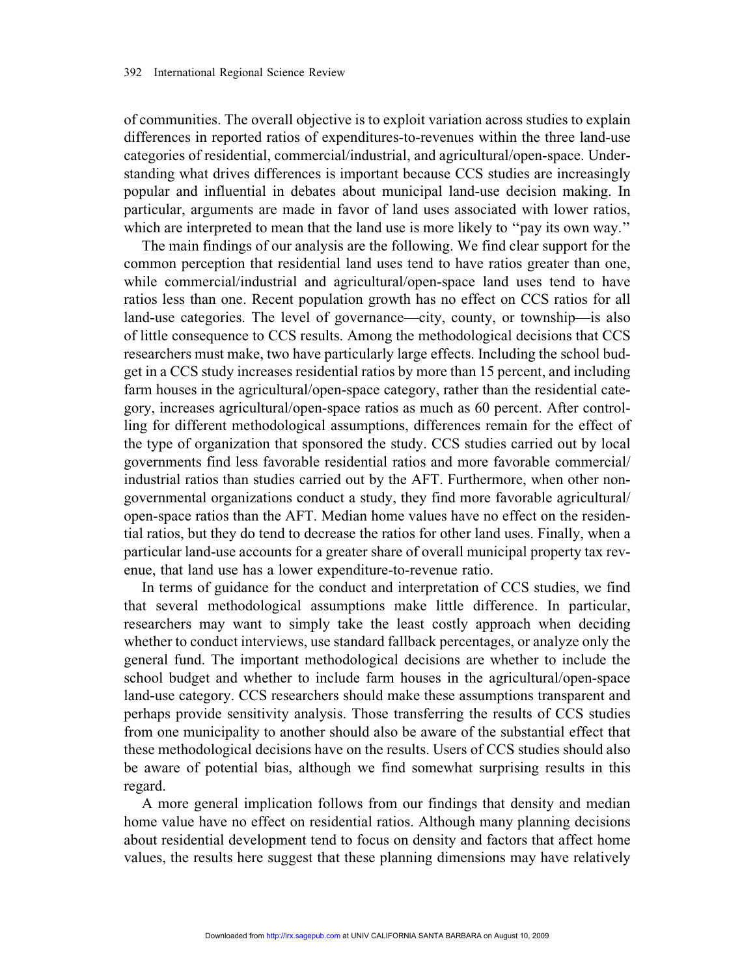of communities. The overall objective is to exploit variation across studies to explain differences in reported ratios of expenditures-to-revenues within the three land-use categories of residential, commercial/industrial, and agricultural/open-space. Understanding what drives differences is important because CCS studies are increasingly popular and influential in debates about municipal land-use decision making. In particular, arguments are made in favor of land uses associated with lower ratios, which are interpreted to mean that the land use is more likely to "pay its own way."

The main findings of our analysis are the following. We find clear support for the common perception that residential land uses tend to have ratios greater than one, while commercial/industrial and agricultural/open-space land uses tend to have ratios less than one. Recent population growth has no effect on CCS ratios for all land-use categories. The level of governance—city, county, or township—is also of little consequence to CCS results. Among the methodological decisions that CCS researchers must make, two have particularly large effects. Including the school budget in a CCS study increases residential ratios by more than 15 percent, and including farm houses in the agricultural/open-space category, rather than the residential category, increases agricultural/open-space ratios as much as 60 percent. After controlling for different methodological assumptions, differences remain for the effect of the type of organization that sponsored the study. CCS studies carried out by local governments find less favorable residential ratios and more favorable commercial/ industrial ratios than studies carried out by the AFT. Furthermore, when other nongovernmental organizations conduct a study, they find more favorable agricultural/ open-space ratios than the AFT. Median home values have no effect on the residential ratios, but they do tend to decrease the ratios for other land uses. Finally, when a particular land-use accounts for a greater share of overall municipal property tax revenue, that land use has a lower expenditure-to-revenue ratio.

In terms of guidance for the conduct and interpretation of CCS studies, we find that several methodological assumptions make little difference. In particular, researchers may want to simply take the least costly approach when deciding whether to conduct interviews, use standard fallback percentages, or analyze only the general fund. The important methodological decisions are whether to include the school budget and whether to include farm houses in the agricultural/open-space land-use category. CCS researchers should make these assumptions transparent and perhaps provide sensitivity analysis. Those transferring the results of CCS studies from one municipality to another should also be aware of the substantial effect that these methodological decisions have on the results. Users of CCS studies should also be aware of potential bias, although we find somewhat surprising results in this regard.

A more general implication follows from our findings that density and median home value have no effect on residential ratios. Although many planning decisions about residential development tend to focus on density and factors that affect home values, the results here suggest that these planning dimensions may have relatively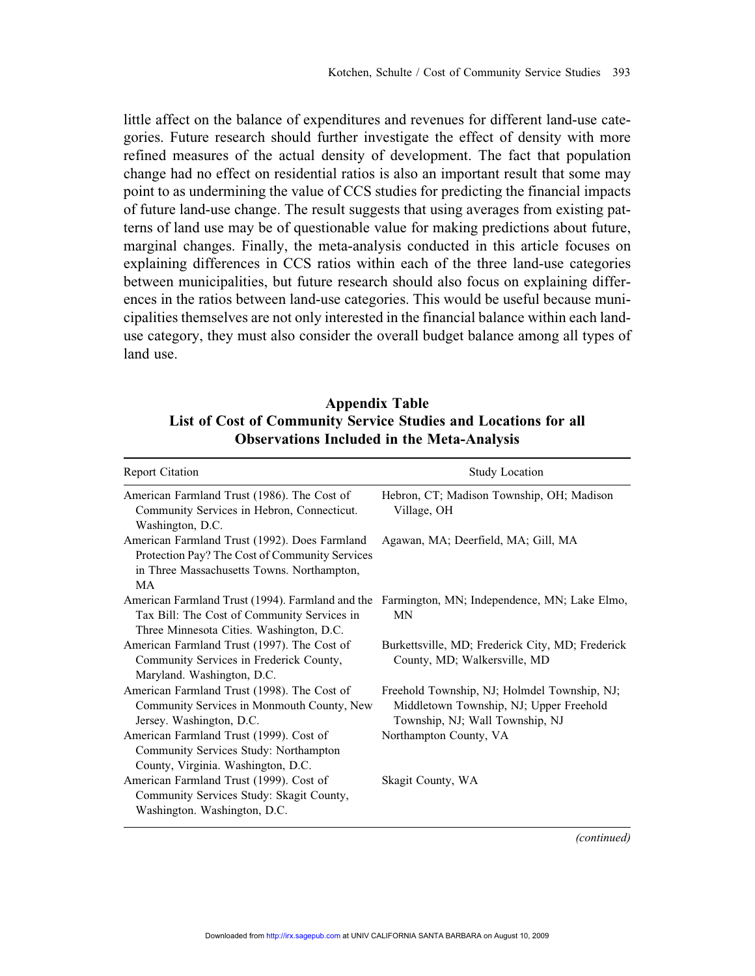little affect on the balance of expenditures and revenues for different land-use categories. Future research should further investigate the effect of density with more refined measures of the actual density of development. The fact that population change had no effect on residential ratios is also an important result that some may point to as undermining the value of CCS studies for predicting the financial impacts of future land-use change. The result suggests that using averages from existing patterns of land use may be of questionable value for making predictions about future, marginal changes. Finally, the meta-analysis conducted in this article focuses on explaining differences in CCS ratios within each of the three land-use categories between municipalities, but future research should also focus on explaining differences in the ratios between land-use categories. This would be useful because municipalities themselves are not only interested in the financial balance within each landuse category, they must also consider the overall budget balance among all types of land use.

#### Appendix Table List of Cost of Community Service Studies and Locations for all Observations Included in the Meta-Analysis

| <b>Report Citation</b>                                                                                                                                                                                    | <b>Study Location</b>                                                                                                                                |
|-----------------------------------------------------------------------------------------------------------------------------------------------------------------------------------------------------------|------------------------------------------------------------------------------------------------------------------------------------------------------|
| American Farmland Trust (1986). The Cost of<br>Community Services in Hebron, Connecticut.<br>Washington, D.C.                                                                                             | Hebron, CT; Madison Township, OH; Madison<br>Village, OH                                                                                             |
| American Farmland Trust (1992). Does Farmland<br>Protection Pay? The Cost of Community Services<br>in Three Massachusetts Towns. Northampton,<br>MA.                                                      | Agawan, MA; Deerfield, MA; Gill, MA                                                                                                                  |
| American Farmland Trust (1994). Farmland and the<br>Tax Bill: The Cost of Community Services in<br>Three Minnesota Cities. Washington, D.C.                                                               | Farmington, MN; Independence, MN; Lake Elmo,<br>MN                                                                                                   |
| American Farmland Trust (1997). The Cost of<br>Community Services in Frederick County,<br>Maryland. Washington, D.C.                                                                                      | Burkettsville, MD; Frederick City, MD; Frederick<br>County, MD; Walkersville, MD                                                                     |
| American Farmland Trust (1998). The Cost of<br>Community Services in Monmouth County, New<br>Jersey. Washington, D.C.<br>American Farmland Trust (1999). Cost of<br>Community Services Study: Northampton | Freehold Township, NJ; Holmdel Township, NJ;<br>Middletown Township, NJ; Upper Freehold<br>Township, NJ; Wall Township, NJ<br>Northampton County, VA |
| County, Virginia. Washington, D.C.<br>American Farmland Trust (1999). Cost of<br>Community Services Study: Skagit County,<br>Washington. Washington, D.C.                                                 | Skagit County, WA                                                                                                                                    |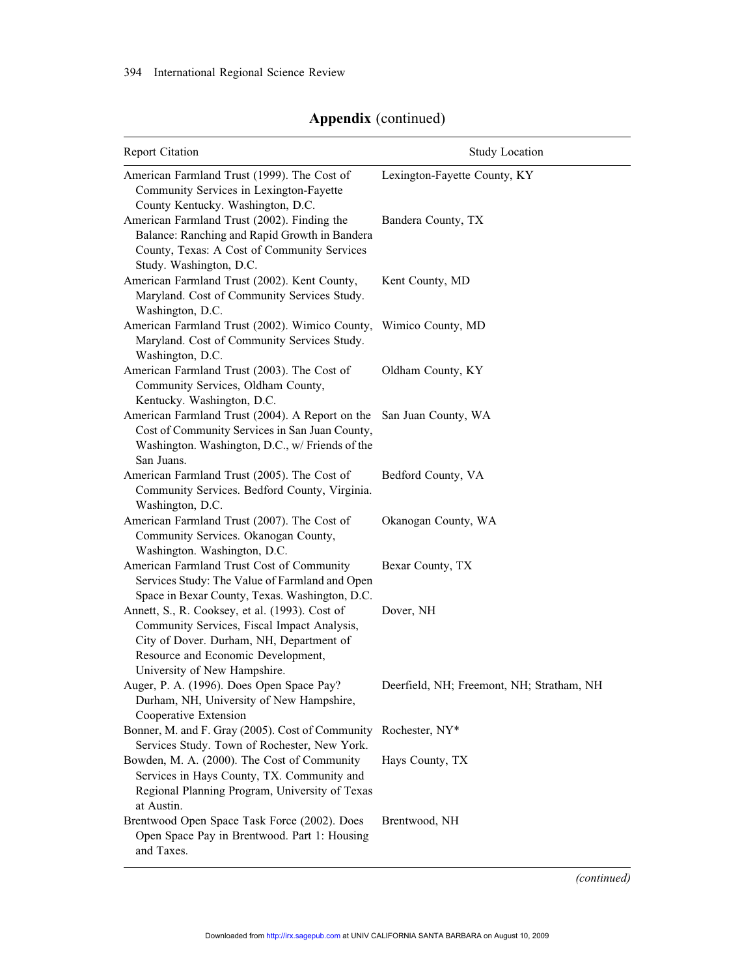| <b>Report Citation</b>                                                                                                                                                                                          | <b>Study Location</b>                     |
|-----------------------------------------------------------------------------------------------------------------------------------------------------------------------------------------------------------------|-------------------------------------------|
| American Farmland Trust (1999). The Cost of<br>Community Services in Lexington-Fayette<br>County Kentucky. Washington, D.C.                                                                                     | Lexington-Fayette County, KY              |
| American Farmland Trust (2002). Finding the<br>Balance: Ranching and Rapid Growth in Bandera<br>County, Texas: A Cost of Community Services<br>Study. Washington, D.C.                                          | Bandera County, TX                        |
| American Farmland Trust (2002). Kent County,<br>Maryland. Cost of Community Services Study.<br>Washington, D.C.                                                                                                 | Kent County, MD                           |
| American Farmland Trust (2002). Wimico County,<br>Maryland. Cost of Community Services Study.<br>Washington, D.C.                                                                                               | Wimico County, MD                         |
| American Farmland Trust (2003). The Cost of<br>Community Services, Oldham County,<br>Kentucky. Washington, D.C.                                                                                                 | Oldham County, KY                         |
| American Farmland Trust (2004). A Report on the San Juan County, WA<br>Cost of Community Services in San Juan County,<br>Washington. Washington, D.C., w/ Friends of the<br>San Juans.                          |                                           |
| American Farmland Trust (2005). The Cost of<br>Community Services. Bedford County, Virginia.<br>Washington, D.C.                                                                                                | Bedford County, VA                        |
| American Farmland Trust (2007). The Cost of<br>Community Services. Okanogan County,<br>Washington. Washington, D.C.                                                                                             | Okanogan County, WA                       |
| American Farmland Trust Cost of Community<br>Services Study: The Value of Farmland and Open<br>Space in Bexar County, Texas. Washington, D.C.                                                                   | Bexar County, TX                          |
| Annett, S., R. Cooksey, et al. (1993). Cost of<br>Community Services, Fiscal Impact Analysis,<br>City of Dover. Durham, NH, Department of<br>Resource and Economic Development,<br>University of New Hampshire. | Dover, NH                                 |
| Auger, P. A. (1996). Does Open Space Pay?<br>Durham, NH, University of New Hampshire,<br>Cooperative Extension                                                                                                  | Deerfield, NH; Freemont, NH; Stratham, NH |
| Bonner, M. and F. Gray (2005). Cost of Community Rochester, NY*<br>Services Study. Town of Rochester, New York.                                                                                                 |                                           |
| Bowden, M. A. (2000). The Cost of Community<br>Services in Hays County, TX. Community and<br>Regional Planning Program, University of Texas<br>at Austin.                                                       | Hays County, TX                           |
| Brentwood Open Space Task Force (2002). Does<br>Open Space Pay in Brentwood. Part 1: Housing<br>and Taxes.                                                                                                      | Brentwood, NH                             |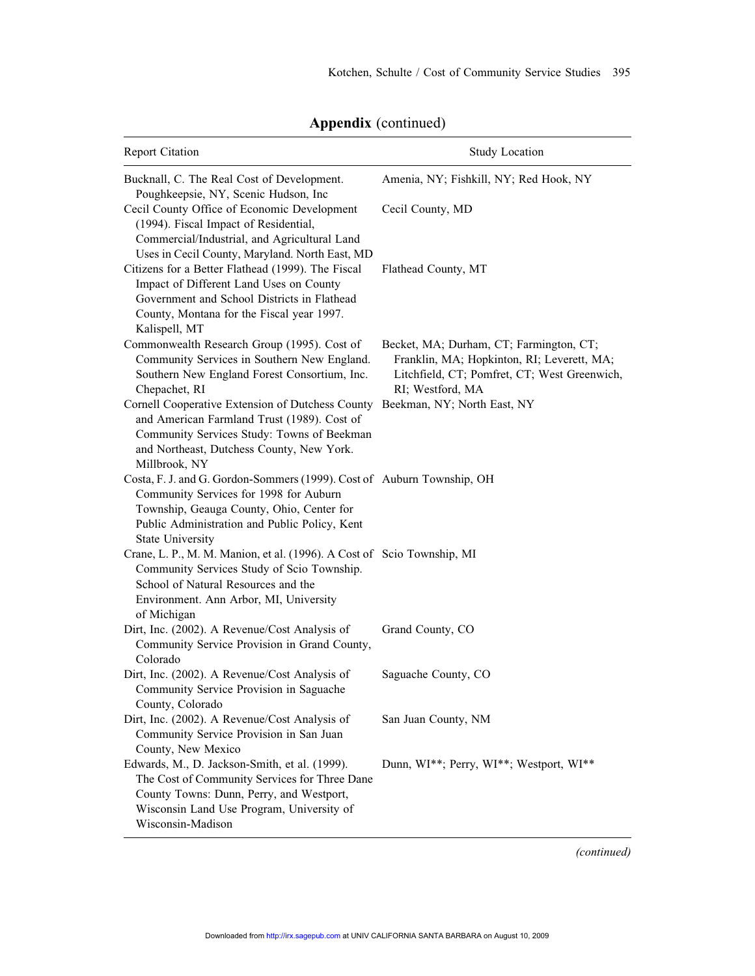| <b>Report Citation</b>                                                                                                                                                                                                                    | <b>Study Location</b>                                                                                                                                     |
|-------------------------------------------------------------------------------------------------------------------------------------------------------------------------------------------------------------------------------------------|-----------------------------------------------------------------------------------------------------------------------------------------------------------|
| Bucknall, C. The Real Cost of Development.<br>Poughkeepsie, NY, Scenic Hudson, Inc                                                                                                                                                        | Amenia, NY; Fishkill, NY; Red Hook, NY                                                                                                                    |
| Cecil County Office of Economic Development<br>(1994). Fiscal Impact of Residential,<br>Commercial/Industrial, and Agricultural Land<br>Uses in Cecil County, Maryland. North East, MD                                                    | Cecil County, MD                                                                                                                                          |
| Citizens for a Better Flathead (1999). The Fiscal<br>Impact of Different Land Uses on County<br>Government and School Districts in Flathead<br>County, Montana for the Fiscal year 1997.<br>Kalispell, MT                                 | Flathead County, MT                                                                                                                                       |
| Commonwealth Research Group (1995). Cost of<br>Community Services in Southern New England.<br>Southern New England Forest Consortium, Inc.<br>Chepachet, RI                                                                               | Becket, MA; Durham, CT; Farmington, CT;<br>Franklin, MA; Hopkinton, RI; Leverett, MA;<br>Litchfield, CT; Pomfret, CT; West Greenwich,<br>RI; Westford, MA |
| Cornell Cooperative Extension of Dutchess County<br>and American Farmland Trust (1989). Cost of<br>Community Services Study: Towns of Beekman<br>and Northeast, Dutchess County, New York.<br>Millbrook, NY                               | Beekman, NY; North East, NY                                                                                                                               |
| Costa, F. J. and G. Gordon-Sommers (1999). Cost of Auburn Township, OH<br>Community Services for 1998 for Auburn<br>Township, Geauga County, Ohio, Center for<br>Public Administration and Public Policy, Kent<br><b>State University</b> |                                                                                                                                                           |
| Crane, L. P., M. M. Manion, et al. (1996). A Cost of Scio Township, MI<br>Community Services Study of Scio Township.<br>School of Natural Resources and the<br>Environment. Ann Arbor, MI, University<br>of Michigan                      |                                                                                                                                                           |
| Dirt, Inc. (2002). A Revenue/Cost Analysis of<br>Community Service Provision in Grand County,<br>Colorado                                                                                                                                 | Grand County, CO                                                                                                                                          |
| Dirt, Inc. (2002). A Revenue/Cost Analysis of<br>Community Service Provision in Saguache<br>County, Colorado                                                                                                                              | Saguache County, CO                                                                                                                                       |
| Dirt, Inc. (2002). A Revenue/Cost Analysis of<br>Community Service Provision in San Juan<br>County, New Mexico                                                                                                                            | San Juan County, NM                                                                                                                                       |
| Edwards, M., D. Jackson-Smith, et al. (1999).<br>The Cost of Community Services for Three Dane<br>County Towns: Dunn, Perry, and Westport,<br>Wisconsin Land Use Program, University of<br>Wisconsin-Madison                              | Dunn, WI**; Perry, WI**; Westport, WI**                                                                                                                   |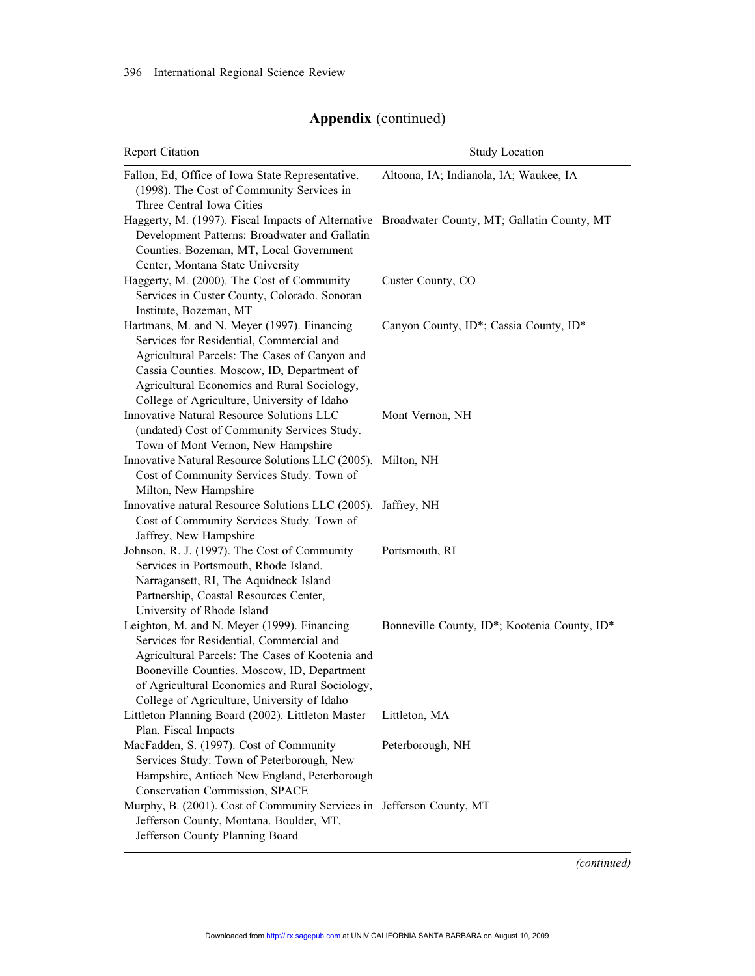| <b>Report Citation</b>                                                                                                                                                                                                                                                                     | <b>Study Location</b>                        |
|--------------------------------------------------------------------------------------------------------------------------------------------------------------------------------------------------------------------------------------------------------------------------------------------|----------------------------------------------|
| Fallon, Ed, Office of Iowa State Representative.<br>(1998). The Cost of Community Services in<br>Three Central Iowa Cities                                                                                                                                                                 | Altoona, IA; Indianola, IA; Waukee, IA       |
| Haggerty, M. (1997). Fiscal Impacts of Alternative Broadwater County, MT; Gallatin County, MT<br>Development Patterns: Broadwater and Gallatin<br>Counties. Bozeman, MT, Local Government<br>Center, Montana State University                                                              |                                              |
| Haggerty, M. (2000). The Cost of Community<br>Services in Custer County, Colorado. Sonoran<br>Institute, Bozeman, MT                                                                                                                                                                       | Custer County, CO                            |
| Hartmans, M. and N. Meyer (1997). Financing<br>Services for Residential, Commercial and<br>Agricultural Parcels: The Cases of Canyon and<br>Cassia Counties. Moscow, ID, Department of<br>Agricultural Economics and Rural Sociology,<br>College of Agriculture, University of Idaho       | Canyon County, ID*; Cassia County, ID*       |
| Innovative Natural Resource Solutions LLC<br>(undated) Cost of Community Services Study.<br>Town of Mont Vernon, New Hampshire                                                                                                                                                             | Mont Vernon, NH                              |
| Innovative Natural Resource Solutions LLC (2005). Milton, NH<br>Cost of Community Services Study. Town of<br>Milton, New Hampshire                                                                                                                                                         |                                              |
| Innovative natural Resource Solutions LLC (2005).<br>Cost of Community Services Study. Town of<br>Jaffrey, New Hampshire                                                                                                                                                                   | Jaffrey, NH                                  |
| Johnson, R. J. (1997). The Cost of Community<br>Services in Portsmouth, Rhode Island.<br>Narragansett, RI, The Aquidneck Island<br>Partnership, Coastal Resources Center,<br>University of Rhode Island                                                                                    | Portsmouth, RI                               |
| Leighton, M. and N. Meyer (1999). Financing<br>Services for Residential, Commercial and<br>Agricultural Parcels: The Cases of Kootenia and<br>Booneville Counties. Moscow, ID, Department<br>of Agricultural Economics and Rural Sociology,<br>College of Agriculture, University of Idaho | Bonneville County, ID*; Kootenia County, ID* |
| Littleton Planning Board (2002). Littleton Master<br>Plan. Fiscal Impacts                                                                                                                                                                                                                  | Littleton, MA                                |
| MacFadden, S. (1997). Cost of Community<br>Services Study: Town of Peterborough, New<br>Hampshire, Antioch New England, Peterborough<br>Conservation Commission, SPACE                                                                                                                     | Peterborough, NH                             |
| Murphy, B. (2001). Cost of Community Services in Jefferson County, MT<br>Jefferson County, Montana. Boulder, MT,<br>Jefferson County Planning Board                                                                                                                                        |                                              |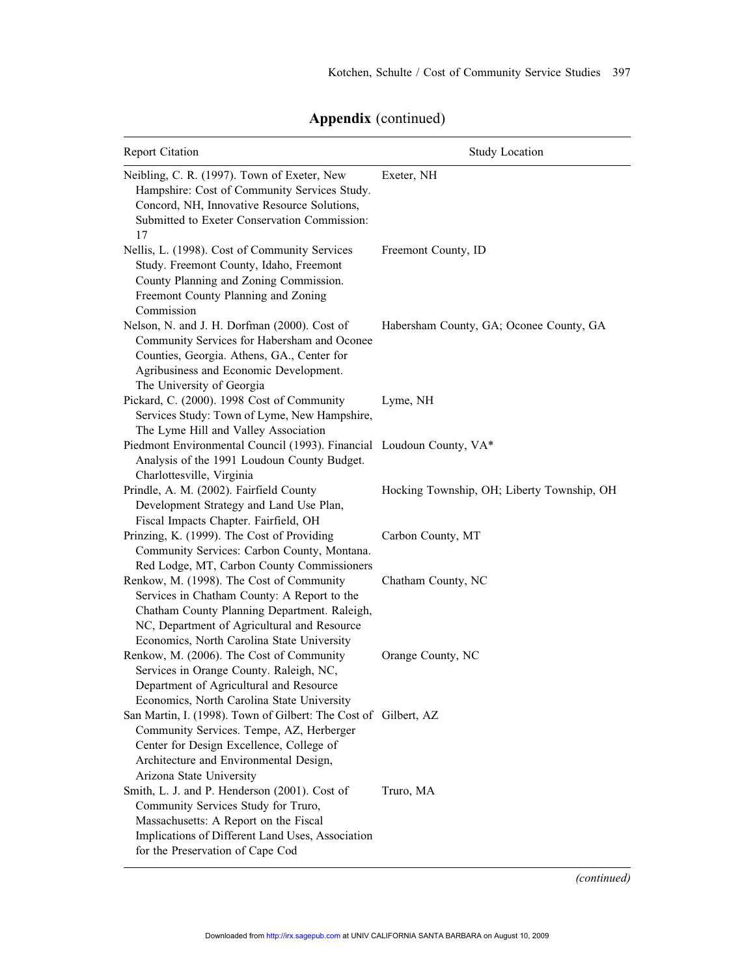| <b>Report Citation</b>                                                                                                                                                                                                               | <b>Study Location</b>                      |
|--------------------------------------------------------------------------------------------------------------------------------------------------------------------------------------------------------------------------------------|--------------------------------------------|
| Neibling, C. R. (1997). Town of Exeter, New<br>Hampshire: Cost of Community Services Study.<br>Concord, NH, Innovative Resource Solutions,<br>Submitted to Exeter Conservation Commission:<br>17                                     | Exeter, NH                                 |
| Nellis, L. (1998). Cost of Community Services<br>Study. Freemont County, Idaho, Freemont<br>County Planning and Zoning Commission.<br>Freemont County Planning and Zoning<br>Commission                                              | Freemont County, ID                        |
| Nelson, N. and J. H. Dorfman (2000). Cost of<br>Community Services for Habersham and Oconee<br>Counties, Georgia. Athens, GA., Center for<br>Agribusiness and Economic Development.<br>The University of Georgia                     | Habersham County, GA; Oconee County, GA    |
| Pickard, C. (2000). 1998 Cost of Community<br>Services Study: Town of Lyme, New Hampshire,<br>The Lyme Hill and Valley Association                                                                                                   | Lyme, NH                                   |
| Piedmont Environmental Council (1993). Financial Loudoun County, VA*<br>Analysis of the 1991 Loudoun County Budget.<br>Charlottesville, Virginia                                                                                     |                                            |
| Prindle, A. M. (2002). Fairfield County<br>Development Strategy and Land Use Plan,<br>Fiscal Impacts Chapter. Fairfield, OH                                                                                                          | Hocking Township, OH; Liberty Township, OH |
| Prinzing, K. (1999). The Cost of Providing<br>Community Services: Carbon County, Montana.<br>Red Lodge, MT, Carbon County Commissioners                                                                                              | Carbon County, MT                          |
| Renkow, M. (1998). The Cost of Community<br>Services in Chatham County: A Report to the<br>Chatham County Planning Department. Raleigh,<br>NC, Department of Agricultural and Resource<br>Economics, North Carolina State University | Chatham County, NC                         |
| Renkow, M. (2006). The Cost of Community<br>Services in Orange County. Raleigh, NC,<br>Department of Agricultural and Resource<br>Economics, North Carolina State University                                                         | Orange County, NC                          |
| San Martin, I. (1998). Town of Gilbert: The Cost of Gilbert, AZ<br>Community Services. Tempe, AZ, Herberger<br>Center for Design Excellence, College of<br>Architecture and Environmental Design,<br>Arizona State University        |                                            |
| Smith, L. J. and P. Henderson (2001). Cost of<br>Community Services Study for Truro,<br>Massachusetts: A Report on the Fiscal<br>Implications of Different Land Uses, Association<br>for the Preservation of Cape Cod                | Truro, MA                                  |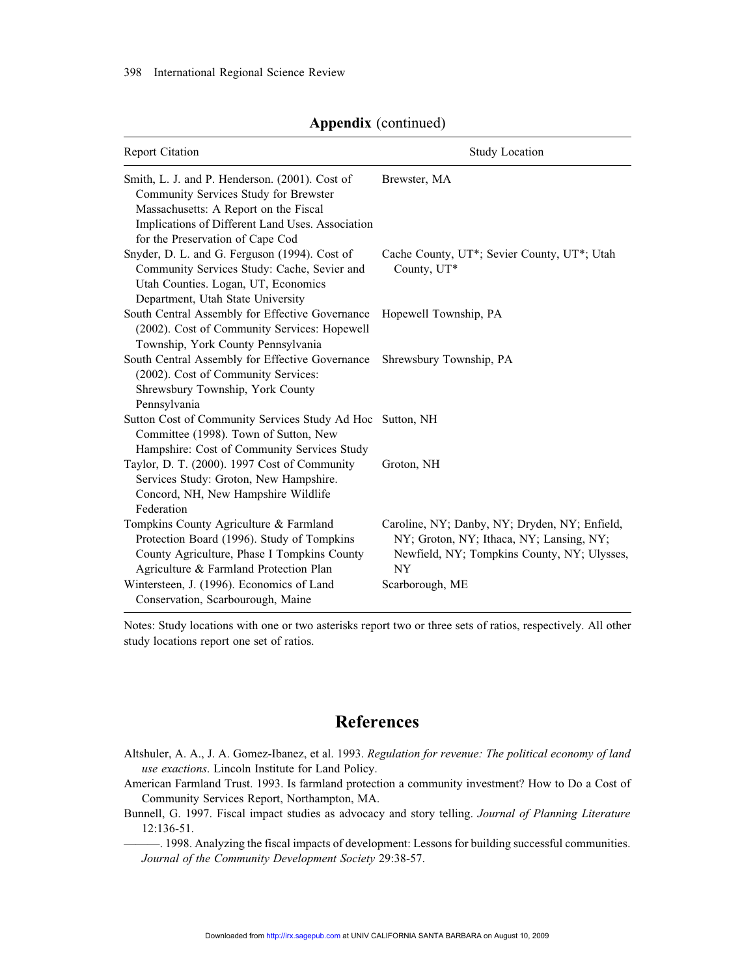| <b>Report Citation</b>                                                                  | <b>Study Location</b>                         |
|-----------------------------------------------------------------------------------------|-----------------------------------------------|
| Smith, L. J. and P. Henderson. (2001). Cost of<br>Community Services Study for Brewster | Brewster, MA                                  |
| Massachusetts: A Report on the Fiscal                                                   |                                               |
| Implications of Different Land Uses. Association                                        |                                               |
| for the Preservation of Cape Cod                                                        |                                               |
| Snyder, D. L. and G. Ferguson (1994). Cost of                                           | Cache County, UT*; Sevier County, UT*; Utah   |
| Community Services Study: Cache, Sevier and                                             | County, UT*                                   |
| Utah Counties. Logan, UT, Economics                                                     |                                               |
| Department, Utah State University                                                       |                                               |
| South Central Assembly for Effective Governance                                         | Hopewell Township, PA                         |
| (2002). Cost of Community Services: Hopewell                                            |                                               |
| Township, York County Pennsylvania                                                      |                                               |
| South Central Assembly for Effective Governance                                         | Shrewsbury Township, PA                       |
| (2002). Cost of Community Services:                                                     |                                               |
| Shrewsbury Township, York County                                                        |                                               |
| Pennsylvania                                                                            |                                               |
| Sutton Cost of Community Services Study Ad Hoc Sutton, NH                               |                                               |
| Committee (1998). Town of Sutton, New                                                   |                                               |
| Hampshire: Cost of Community Services Study                                             |                                               |
| Taylor, D. T. (2000). 1997 Cost of Community                                            | Groton, NH                                    |
| Services Study: Groton, New Hampshire.                                                  |                                               |
| Concord, NH, New Hampshire Wildlife                                                     |                                               |
| Federation                                                                              |                                               |
| Tompkins County Agriculture & Farmland                                                  | Caroline, NY; Danby, NY; Dryden, NY; Enfield, |
| Protection Board (1996). Study of Tompkins                                              | NY; Groton, NY; Ithaca, NY; Lansing, NY;      |
| County Agriculture, Phase I Tompkins County                                             | Newfield, NY; Tompkins County, NY; Ulysses,   |
| Agriculture & Farmland Protection Plan                                                  | <b>NY</b>                                     |
| Wintersteen, J. (1996). Economics of Land                                               | Scarborough, ME                               |
| Conservation, Scarbourough, Maine                                                       |                                               |

Notes: Study locations with one or two asterisks report two or three sets of ratios, respectively. All other study locations report one set of ratios.

## References

- Altshuler, A. A., J. A. Gomez-Ibanez, et al. 1993. Regulation for revenue: The political economy of land use exactions. Lincoln Institute for Land Policy.
- American Farmland Trust. 1993. Is farmland protection a community investment? How to Do a Cost of Community Services Report, Northampton, MA.
- Bunnell, G. 1997. Fiscal impact studies as advocacy and story telling. Journal of Planning Literature 12:136-51.

———. 1998. Analyzing the fiscal impacts of development: Lessons for building successful communities. Journal of the Community Development Society 29:38-57.